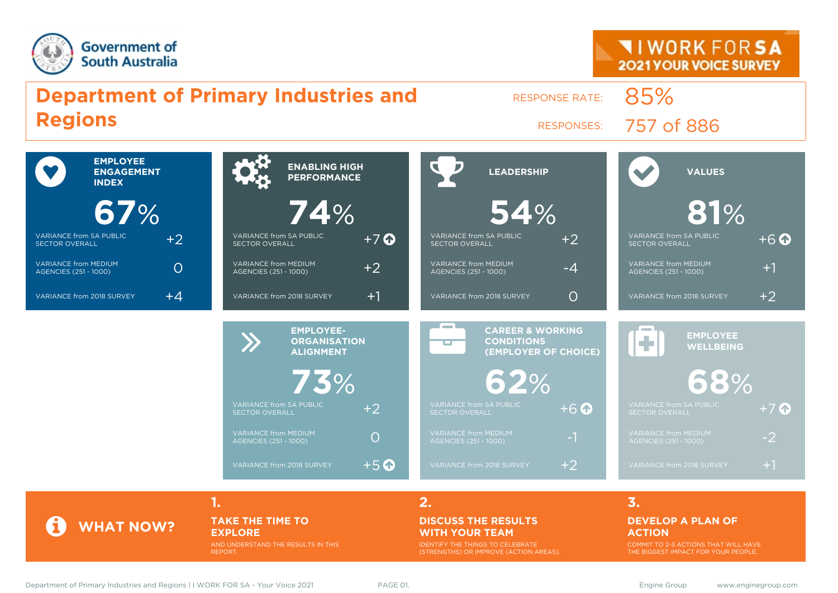



#### **TAKE THE TIME TO EXPLORE**

AND UNDERSTAND THE RESULTS IN THIS REPORT.

#### **DISCUSS THE RESULTS WITH YOUR TEAM**

IDENTIFY THE THINGS TO CELEBRATE (STRENGTHS) OR IMPROVE (ACTION AREAS).

#### **DEVELOP A PLAN OF ACTION**

COMMIT TO 2-3 ACTIONS THAT WILL HAVE THE BIGGEST IMPACT FOR YOUR PEOPLE.

**WHAT NOW?**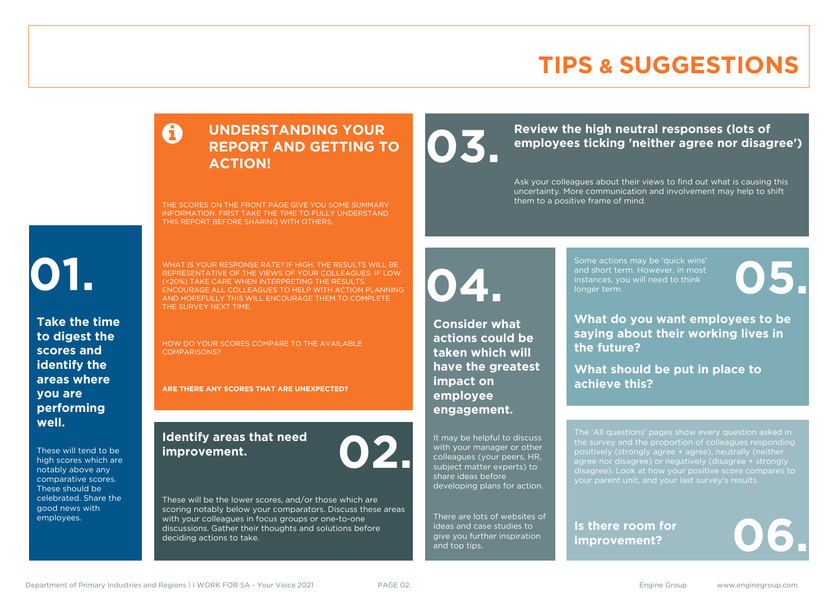### **TIPS & SUGGESTIONS**

### **UNDERSTANDING YOUR REPORT AND GETTING TO ACTION!**

THE SCORES ON THE FRONT PAGE GIVE YOU SOME SUMMARY INFORMATION. FIRST TAKE THE TIME TO FULLY UNDERSTAND THIS REPORT BEFORE SHARING WITH OTHERS.

# **01.**

**Take the time to digest the scores and identify the areas where you are performing well.**

These will tend to be high scores which are notably above any comparative scores. These should be celebrated. Share the good news with employees.

WHAT IS YOUR RESPONSE RATE? IF HIGH, THE RESULTS WILL BE REPRESENTATIVE OF THE VIEWS OF YOUR COLLEAGUES. IF LOW (<20%) TAKE CARE WHEN INTERPRETING THE RESULTS. ENCOURAGE ALL COLLEAGUES TO HELP WITH ACTION PLANNING AND HOPEFULLY THIS WILL ENCOURAGE THEM TO COMPLETE THE SURVEY NEXT TIME.

HOW DO YOUR SCORES COMPARE TO THE AVAILABLE COMPARISONS?

**ARE THERE ANY SCORES THAT ARE UNEXPECTED?**

#### **Identify areas that need improvement. 02.**

These will be the lower scores, and/or those which are scoring notably below your comparators. Discuss these areas with your colleagues in focus groups or one-to-one discussions. Gather their thoughts and solutions before deciding actions to take.

Review the high neutral responses (lots of employees ticking 'neither agree nor disag **employees ticking 'neither agree nor disagree')**

> Ask your colleagues about their views to find out what is causing this uncertainty. More communication and involvement may help to shift them to a positive frame of mind.

**04.**

**Consider what actions could be taken which will have the greatest impact on employee engagement.**

It may be helpful to discuss with your manager or other colleagues (your peers, HR, subject matter experts) to share ideas before developing plans for action.

There are lots of websites of ideas and case studies to give you further inspiration and top tips.

Some actions may be 'quick wins' and short term. However, in most instances, you will need to think Some actions may be 'quick wins'<br>and short term. However, in most<br>instances, you will need to think<br>longer term.

**What do you want employees to be saying about their working lives in the future?**

**What should be put in place to achieve this?**

The 'All questions' pages show every question asked in positively (strongly agree + agree), neutrally (neither agree nor disagree) or negatively (disagree + strongly disagree). Look at how your positive score compares to your parent unit, and your last survey's results.

**Is there room for**  Is there room for<br>improvement?

Department of Primary Industries and Regions | I WORK FOR SA - Your Voice 2021 PAGE 02. Engine Group www.enginegroup.com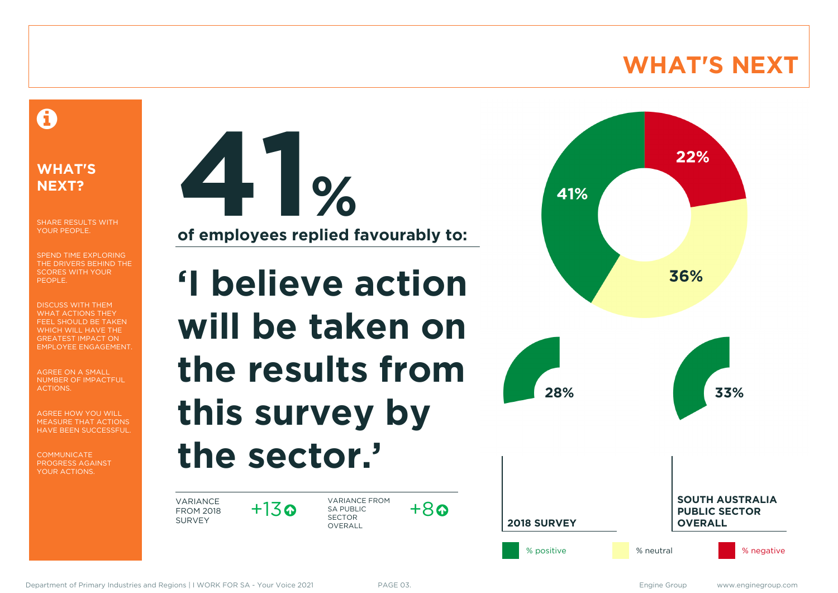### **WHAT'S NEXT**

### A

#### **WHAT'S NEXT?**

SHARE RESULTS WITH YOUR PEOPLE.

SPEND TIME EXPLORING THE DRIVERS BEHIND THE SCORES WITH YOUR PEOPLE.

DISCUSS WITH THEM WHAT ACTIONS THEY FEEL SHOULD BE TAKEN WHICH WILL HAVE THE GREATEST IMPACT ON EMPLOYEE ENGAGEMENT.

AGREE ON A SMALL NUMBER OF IMPACTFUL ACTIONS.

AGREE HOW YOU WILL MEASURE THAT ACTIONS HAVE BEEN SUCCESSFUL.

**COMMUNICATE** PROGRESS AGAINST YOUR ACTIONS.

**41% of employees replied favourably to:**

**'I believe action will be taken on the results from this survey by the sector.'**

VARIANCE FROM 2018 SURVEY

 $+13$ 

VARIANCE FROM SA PUBLIC SECTOR OVERALL



 $+8a$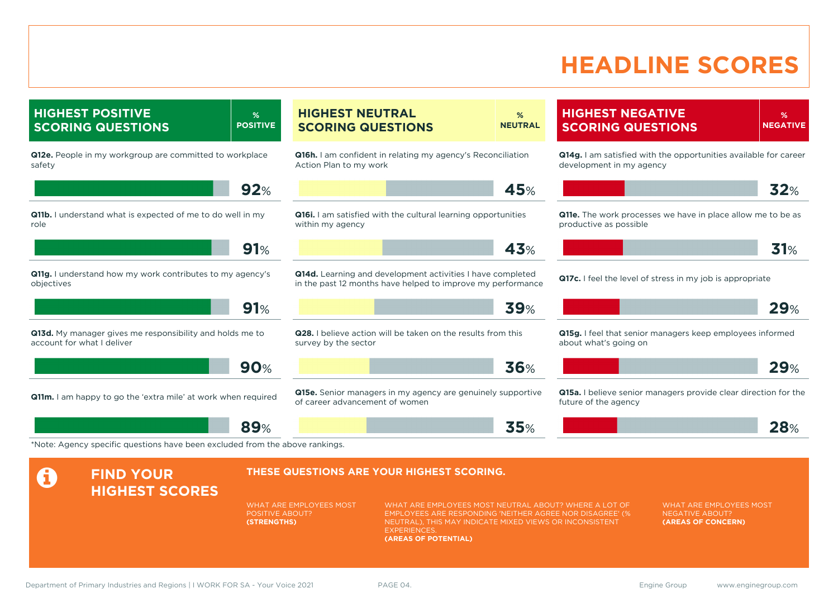### **HEADLINE SCORES**

**HIGHEST POSITIVE SCORING QUESTIONS % POSITIVE Q12e.** People in my workgroup are committed to workplace safety **92**% **Q11b.** I understand what is expected of me to do well in my role **91**% **Q11g.** I understand how my work contributes to my agency's objectives **91**% **Q13d.** My manager gives me responsibility and holds me to account for what I deliver **90**% **Q11m.** I am happy to go the 'extra mile' at work when required **89**% **HIGHEST NEUTRAL SCORING QUESTIONS % NEUTRAL Q16h.** I am confident in relating my agency's Reconciliation Action Plan to my work **45**% **Q16i.** I am satisfied with the cultural learning opportunities within my agency **43**% **Q14d.** Learning and development activities I have completed in the past 12 months have helped to improve my performance **39**% **Q28.** I believe action will be taken on the results from this survey by the sector **36**% **Q15e.** Senior managers in my agency are genuinely supportive of career advancement of women **35**% **HIGHEST NEGATIVE SCORING QUESTIONS % NEGATIVE Q14g.** I am satisfied with the opportunities available for career development in my agency **32**% **Q11e.** The work processes we have in place allow me to be as productive as possible **31**% **Q17c.** I feel the level of stress in my job is appropriate **29**% **Q15g.** I feel that senior managers keep employees informed about what's going on **29**% **Q15a.** I believe senior managers provide clear direction for the future of the agency **28**% \*Note: Agency specific questions have been excluded from the above rankings. **A** FIND YOUR **HIGHEST SCORES THESE QUESTIONS ARE YOUR HIGHEST SCORING.** WHAT ARE EMPLOYEES MOST POSITIVE ABOUT? **(STRENGTHS)** WHAT ARE EMPLOYEES MOST NEUTRAL ABOUT? WHERE A LOT OF EMPLOYEES ARE RESPONDING 'NEITHER AGREE NOR DISAGREE' (% NEUTRAL), THIS MAY INDICATE MIXED VIEWS OR INCONSISTENT **EXPERIENCES (AREAS OF POTENTIAL)** WHAT ARE EMPLOYEES MOST NEGATIVE ABOUT? **(AREAS OF CONCERN)**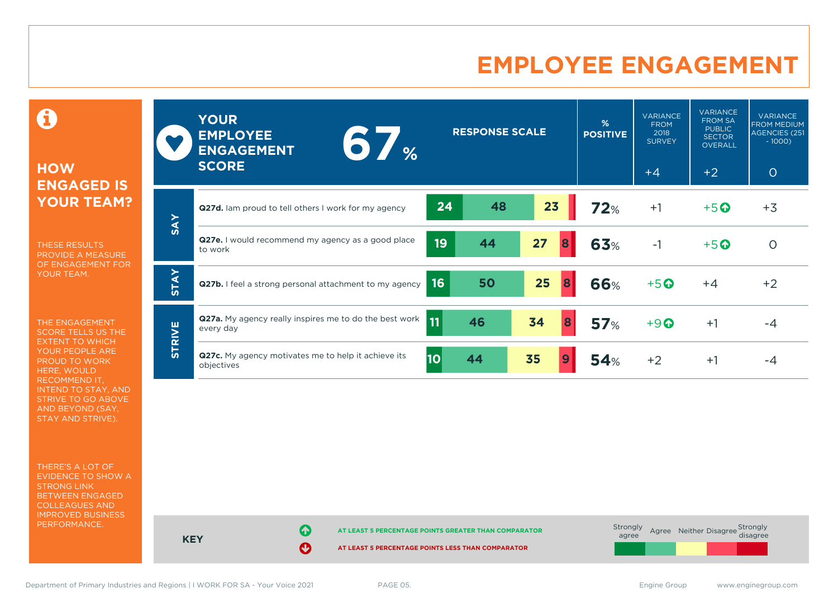### **EMPLOYEE ENGAGEMENT**

0

#### **HOW ENGAGED IS YOUR TEAM?**

THESE RESULTS PROVIDE A MEASURE OF ENGAGEMENT FOR YOUR TEAM.

THE ENGAGEMENT SCORE TELLS US THE EXTENT TO WHICH YOUR PEOPLE ARE PROUD TO WORK HERE, WOULD RECOMMEND IT, INTEND TO STAY, AND STRIVE TO GO ABOVE AND BEYOND (SAY, STAY AND STRIVE).

THERE'S A LOT OF EVIDENCE TO SHOW A STRONG LINK BETWEEN ENGAGED COLLEAGUES AND IMPROVED BUSINESS PERFORMANCE.

|               | <b>YOUR</b><br><b>EMPLOYEE</b><br>6 %<br><b>ENGAGEMENT</b><br><b>SCORE</b> |           | <b>RESPONSE SCALE</b> |         | %<br><b>POSITIVE</b> | <b>VARIANCE</b><br><b>FROM</b><br>2018<br><b>SURVEY</b><br>$+4$ | <b>VARIANCE</b><br><b>FROM SA</b><br><b>PUBLIC</b><br><b>SECTOR</b><br><b>OVERALL</b><br>$+2$ | <b>VARIANCE</b><br><b>FROM MEDIUM</b><br>AGENCIES (251<br>$-1000$<br>$\circ$ |
|---------------|----------------------------------------------------------------------------|-----------|-----------------------|---------|----------------------|-----------------------------------------------------------------|-----------------------------------------------------------------------------------------------|------------------------------------------------------------------------------|
|               | Q27d. Iam proud to tell others I work for my agency                        | 24        | 48                    | 23      | 72%                  | $+1$                                                            | $+5$ <sup>O</sup>                                                                             | $+3$                                                                         |
| <b>SAY</b>    | Q27e. I would recommend my agency as a good place<br>to work               | 19        | 44                    | 27<br>8 | 63%                  | $-1$                                                            | $+5$ <sup><math>\odot</math></sup>                                                            | $\Omega$                                                                     |
| <b>STAY</b>   | Q27b. I feel a strong personal attachment to my agency                     | 16        | 50                    | 25<br>8 | 66%                  | $+5o$                                                           | $+4$                                                                                          | $+2$                                                                         |
|               | Q27a. My agency really inspires me to do the best work<br>every day        | <b>11</b> | 46                    | 34<br>8 | <b>57%</b>           | $+9$ <sup><math>\odot</math></sup>                              | $+1$                                                                                          | $-4$                                                                         |
| <b>STRIVE</b> | Q27c. My agency motivates me to help it achieve its<br>objectives          | 10        | 44                    | 35<br>9 | 54%                  | $+2$                                                            | $+1$                                                                                          | -4                                                                           |



Department of Primary Industries and Regions | I WORK FOR SA - Your Voice 2021 PAGE 05. Engine Group www.enginegroup.com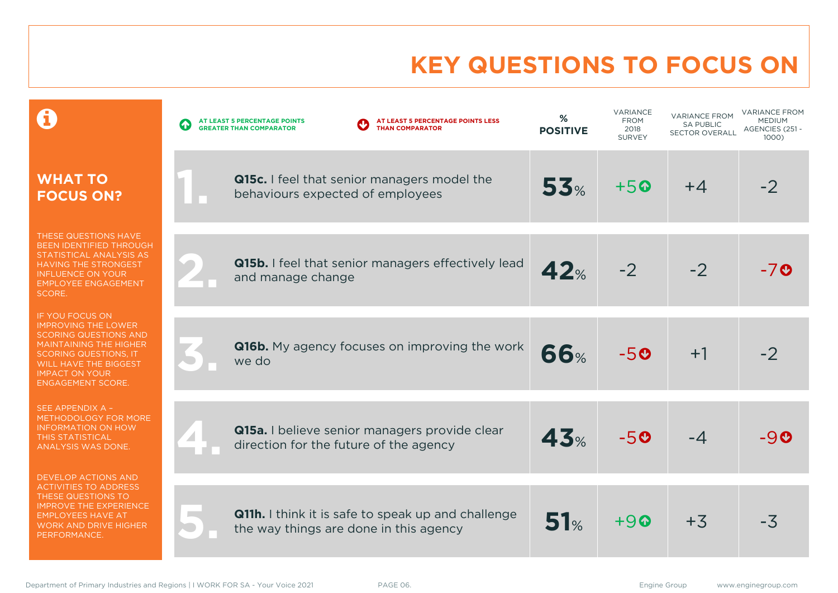### **KEY QUESTIONS TO FOCUS ON**

|                                                                                                                                                                                                                                     | AT LEAST 5 PERCENTAGE POINTS LESS<br>AT LEAST 5 PERCENTAGE POINTS<br>$\blacklozenge$<br><b>THAN COMPARATOR</b><br><b>GREATER THAN COMPARATOR</b> | %<br><b>POSITIVE</b> | VARIANCE<br><b>FROM</b><br>2018<br><b>SURVEY</b> | <b>VARIANCE FROM</b><br><b>SA PUBLIC</b><br><b>SECTOR OVERALL</b> | <b>VARIANCE FROM</b><br><b>MEDIUM</b><br>AGENCIES (251 -<br>1000) |
|-------------------------------------------------------------------------------------------------------------------------------------------------------------------------------------------------------------------------------------|--------------------------------------------------------------------------------------------------------------------------------------------------|----------------------|--------------------------------------------------|-------------------------------------------------------------------|-------------------------------------------------------------------|
| <b>WHAT TO</b><br><b>FOCUS ON?</b>                                                                                                                                                                                                  | Q15c. I feel that senior managers model the<br>behaviours expected of employees                                                                  | 53%                  | $+50$                                            | $+4$                                                              | $-2$                                                              |
| THESE QUESTIONS HAVE<br>BEEN IDENTIFIED THROUGH<br>STATISTICAL ANALYSIS AS<br><b>HAVING THE STRONGEST</b><br><b>INFLUENCE ON YOUR</b><br><b>EMPLOYEE ENGAGEMENT</b><br>SCORE.                                                       | Q15b. I feel that senior managers effectively lead<br>and manage change                                                                          | 42%                  | $-2$                                             | $-2$                                                              | -70                                                               |
| IF YOU FOCUS ON<br><b>IMPROVING THE LOWER</b><br><b>SCORING QUESTIONS AND</b><br><b>MAINTAINING THE HIGHER</b><br><b>SCORING QUESTIONS, IT</b><br><b>WILL HAVE THE BIGGEST</b><br><b>IMPACT ON YOUR</b><br><b>ENGAGEMENT SCORE.</b> | Q16b. My agency focuses on improving the work<br>we do                                                                                           | <b>66%</b>           | $-50$                                            | $+1$                                                              | $-2$                                                              |
| SEE APPENDIX A -<br>METHODOLOGY FOR MORE<br><b>INFORMATION ON HOW</b><br><b>THIS STATISTICAL</b><br>ANALYSIS WAS DONE.                                                                                                              | Q15a. I believe senior managers provide clear<br>direction for the future of the agency                                                          | 43%                  | $-50$                                            | $-4$                                                              | -90                                                               |
| <b>DEVELOP ACTIONS AND</b><br><b>ACTIVITIES TO ADDRESS</b><br>THESE QUESTIONS TO<br><b>IMPROVE THE EXPERIENCE</b><br><b>EMPLOYEES HAVE AT</b><br><b>WORK AND DRIVE HIGHER</b><br>PERFORMANCE.                                       | <b>Q11h.</b> I think it is safe to speak up and challenge<br>the way things are done in this agency                                              | 51%                  | $+90$                                            | $+3$                                                              | $-3\overline{5}$                                                  |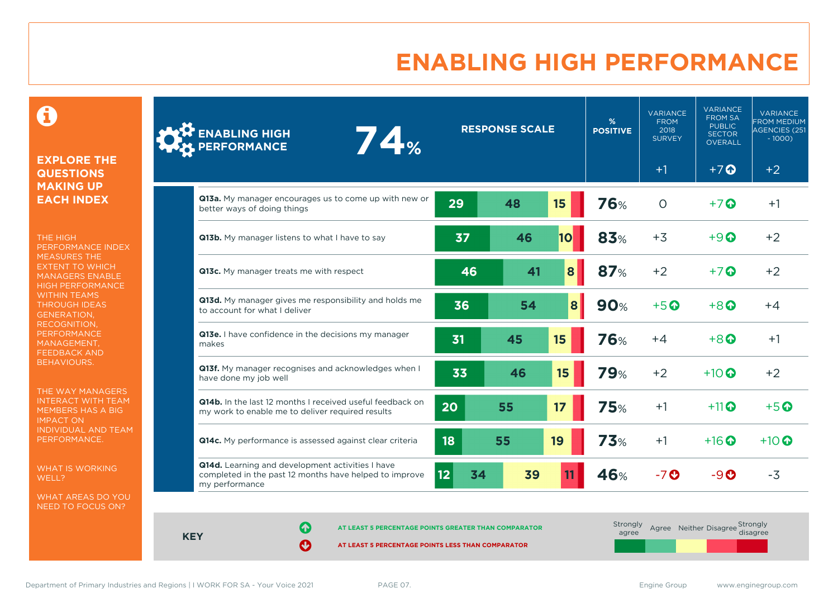### **ENABLING HIGH PERFORMANCE**

 $\mathbf \Theta$ 

#### **EXPLORE THE QUESTIONS MAKING UP EACH INDEX**

THE HIGH PERFORMANCE INDEX MEASURES THE EXTENT TO WHICH MANAGERS ENABLE HIGH PERFORMANCE WITHIN TEAMS THROUGH IDEAS GENERATION, RECOGNITION, **PERFORMANCE** MANAGEMENT, FEEDBACK AND BEHAVIOURS.

THE WAY MANAGERS INTERACT WITH TEAM MEMBERS HAS A BIG IMPACT ON INDIVIDUAL AND TEAM PERFORMANCE.

WHAT IS WORKING WELL?

WHAT AREAS DO YOU NEED TO FOCUS ON?

| <b>ENABLING HIGH</b><br>74%<br><b>PERFORMANCE</b>                                                                            |          | <b>RESPONSE SCALE</b> |    | %<br><b>POSITIVE</b> | <b>VARIANCE</b><br><b>FROM</b><br>2018<br><b>SURVEY</b> | <b>VARIANCE</b><br><b>FROM SA</b><br><b>PUBLIC</b><br><b>SECTOR</b><br><b>OVERALL</b> | <b>VARIANCE</b><br><b>FROM MEDIUM</b><br>AGENCIES (251<br>$-1000$ |
|------------------------------------------------------------------------------------------------------------------------------|----------|-----------------------|----|----------------------|---------------------------------------------------------|---------------------------------------------------------------------------------------|-------------------------------------------------------------------|
|                                                                                                                              |          |                       |    |                      | $+1$                                                    | $+7$ $\Omega$                                                                         | $+2$                                                              |
| Q13a. My manager encourages us to come up with new or<br>better ways of doing things                                         | 29       | 48                    | 15 | <b>76%</b>           | $\Omega$                                                | $+7$ $\odot$                                                                          | $+1$                                                              |
| Q13b. My manager listens to what I have to say                                                                               | 37       | 46                    | 10 | 83%                  | $+3$                                                    | $+9$ $\odot$                                                                          | $+2$                                                              |
| Q13c. My manager treats me with respect                                                                                      | 46       | 41                    | 8  | 87%                  | $+2$                                                    | $+7$ $\odot$                                                                          | $+2$                                                              |
| Q13d. My manager gives me responsibility and holds me<br>to account for what I deliver                                       | 36       | 54                    | 8  | <b>90%</b>           | $+5$ <sup>O</sup>                                       | $+8$ $\odot$                                                                          | $+4$                                                              |
| Q13e. I have confidence in the decisions my manager<br>makes                                                                 | 31       | 45                    | 15 | <b>76%</b>           | $+4$                                                    | $+8$                                                                                  | $+1$                                                              |
| Q13f. My manager recognises and acknowledges when I<br>have done my job well                                                 | 33       | 46                    | 15 | <b>79%</b>           | $+2$                                                    | $+10$ $\odot$                                                                         | $+2$                                                              |
| Q14b. In the last 12 months I received useful feedback on<br>my work to enable me to deliver required results                | 20       | 55                    | 17 | <b>75%</b>           | $+1$                                                    | $+11$ $\odot$                                                                         | $+5$ <sup><math>\odot</math></sup>                                |
| Q14c. My performance is assessed against clear criteria                                                                      | 18       | 55                    | 19 | <b>73%</b>           | $+1$                                                    | $+16$ $\odot$                                                                         | $+10$ $\odot$                                                     |
| Q14d. Learning and development activities I have<br>completed in the past 12 months have helped to improve<br>my performance | 12<br>34 | 39                    |    | 46%                  | $-7o$                                                   | $-9o$                                                                                 | $-3$                                                              |

**KEY**

**AT LEAST 5 PERCENTAGE POINTS GREATER THAN COMPARATOR** 

| Strongly<br>agree |  | Agree Neither Disagree Strongly<br>disagree |
|-------------------|--|---------------------------------------------|
|                   |  |                                             |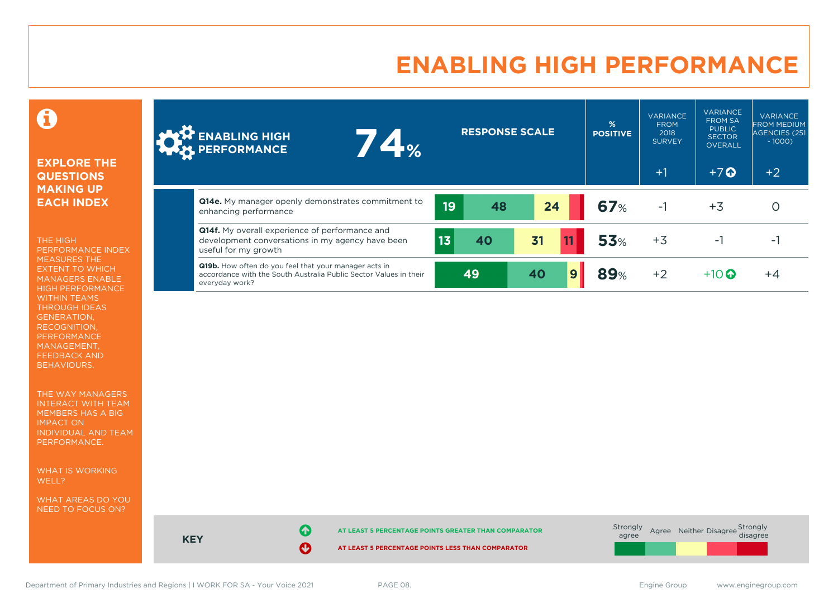### **ENABLING HIGH PERFORMANCE**

### 0

#### **EXPLORE THE QUESTIONS MAKING UP EACH INDEX**

THE HIGH PERFORMANCE INDEX MEASURES THE EXTENT TO WHICH MANAGERS ENABLE HIGH PERFORMANCE WITHIN TEAMS THROUGH IDEAS GENERATION, RECOGNITION, PERFORMANCE MANAGEMENT, FEEDBACK AND BEHAVIOURS.

THE WAY MANAGERS INTERACT WITH TEAM MEMBERS HAS A BIG IMPACT ON INDIVIDUAL AND TEAM PERFORMANCE.

WHAT IS WORKING WELL?

WHAT AREAS DO YOU NEED TO FOCUS ON?

| <b>ALT</b> ENABLING HIGH<br>74%<br><b>WAY PERFORMANCE</b>                                                                                    |    | <b>RESPONSE SCALE</b> |    |   | $\frac{9}{6}$<br><b>POSITIVE</b> | <b>VARIANCE</b><br><b>FROM</b><br>2018<br><b>SURVEY</b><br>$+1$ | <b>VARIANCE</b><br><b>FROM SA</b><br><b>PUBLIC</b><br><b>SECTOR</b><br><b>OVERALL</b><br>$+7$ $\Omega$ | <b>VARIANCE</b><br><b>FROM MEDIUM</b><br>AGENCIES (251<br>$-1000$<br>$+2$ |
|----------------------------------------------------------------------------------------------------------------------------------------------|----|-----------------------|----|---|----------------------------------|-----------------------------------------------------------------|--------------------------------------------------------------------------------------------------------|---------------------------------------------------------------------------|
| <b>Q14e.</b> My manager openly demonstrates commitment to<br>enhancing performance                                                           | 19 | 48                    | 24 |   | 67%                              | $-1$                                                            | $+3$                                                                                                   |                                                                           |
| <b>Q14f.</b> My overall experience of performance and<br>development conversations in my agency have been<br>useful for my growth            | 13 | 40                    | 31 |   | 53%                              | $+3$                                                            | -1                                                                                                     | ÷.                                                                        |
| Q19b. How often do you feel that your manager acts in<br>accordance with the South Australia Public Sector Values in their<br>everyday work? |    | 49                    | 40 | 9 | <b>89%</b>                       | $+2$                                                            | $+10$ <sup>O</sup>                                                                                     | $+4$                                                                      |

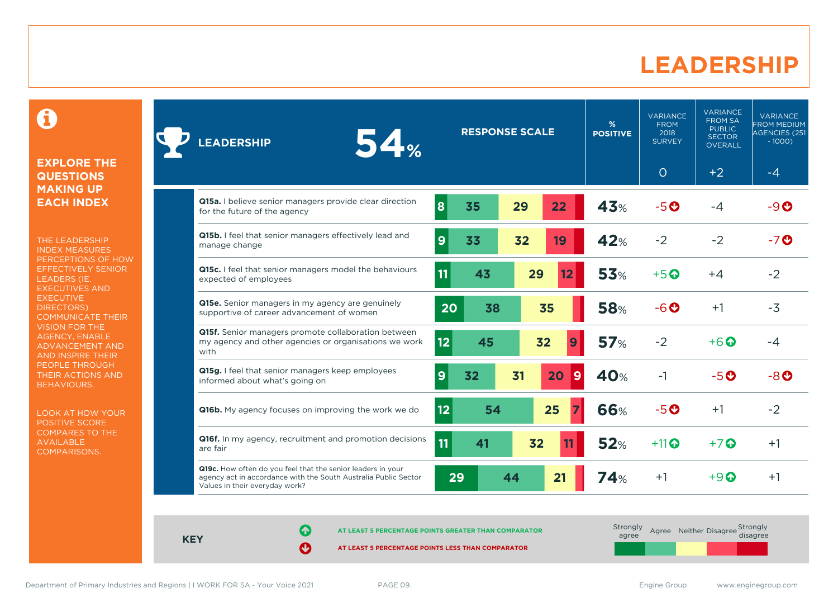### **LEADERSHIP**

0

#### **EXPLORE THE QUESTIONS MAKING UP EACH INDEX**

THE LEADERSHIP INDEX MEASURES PERCEPTIONS OF HOW EFFECTIVELY SENIOR LEADERS (IE. EXECUTIVES AND **EXECUTIVE** DIRECTORS) COMMUNICATE THEIR VISION FOR THE AGENCY, ENABLE ADVANCEMENT AND AND INSPIRE THEIR PEOPLE THROUGH THEIR ACTIONS AND BEHAVIOURS.

LOOK AT HOW YOUR POSITIVE SCORE COMPARES TO THE AVAILABLE COMPARISONS.

| <b>54%</b><br><b>LEADERSHIP</b>                                                                                                                                  | <b>RESPONSE SCALE</b> |    |    | %<br><b>POSITIVE</b> | <b>VARIANCE</b><br><b>FROM</b><br>2018<br><b>SURVEY</b> | <b>VARIANCE</b><br><b>FROM SA</b><br><b>PUBLIC</b><br><b>SECTOR</b><br>OVERALL | <b>VARIANCE</b><br><b>FROM MEDIUM</b><br><b>AGENCIES (251)</b><br>$-1000$ |              |
|------------------------------------------------------------------------------------------------------------------------------------------------------------------|-----------------------|----|----|----------------------|---------------------------------------------------------|--------------------------------------------------------------------------------|---------------------------------------------------------------------------|--------------|
|                                                                                                                                                                  |                       |    |    |                      |                                                         | $\circ$                                                                        | $+2$                                                                      | $-4$         |
| Q15a. I believe senior managers provide clear direction<br>for the future of the agency                                                                          | 8                     | 35 | 29 | 22                   | 43%                                                     | $-5o$                                                                          | $-4$                                                                      | $-9o$        |
| Q15b. I feel that senior managers effectively lead and<br>manage change                                                                                          | 9                     | 33 | 32 | 19                   | 42%                                                     | $-2$                                                                           | $-2$                                                                      | $-7$ $\odot$ |
| Q15c. I feel that senior managers model the behaviours<br>expected of employees                                                                                  | 11                    | 43 |    | 29<br>12             | 53%                                                     | $+5$ <sup>O</sup>                                                              | $+4$                                                                      | $-2$         |
| <b>Q15e.</b> Senior managers in my agency are genuinely<br>supportive of career advancement of women                                                             | 20                    | 38 |    | 35                   | <b>58%</b>                                              | $-6o$                                                                          | $+1$                                                                      | $-3$         |
| Q15f. Senior managers promote collaboration between<br>my agency and other agencies or organisations we work<br>with                                             | 12                    | 45 |    | 32<br>9              | 57%                                                     | $-2$                                                                           | $+6$ $\odot$                                                              | $-4$         |
| Q15g. I feel that senior managers keep employees<br>informed about what's going on                                                                               | 9                     | 32 | 31 | 20<br>$\overline{9}$ | 40%                                                     | $-1$                                                                           | $-5o$                                                                     | $-8o$        |
| <b>Q16b.</b> My agency focuses on improving the work we do                                                                                                       | 12                    | 54 |    | 25                   | <b>66%</b>                                              | $-5o$                                                                          | $+1$                                                                      | $-2$         |
| Q16f. In my agency, recruitment and promotion decisions<br>are fair                                                                                              | 11                    | 41 |    | 32                   | 52%                                                     | $+11$                                                                          | $+7$ $\odot$                                                              | $+1$         |
| Q19c. How often do you feel that the senior leaders in your<br>agency act in accordance with the South Australia Public Sector<br>Values in their everyday work? | 29                    |    | 44 | 21                   | <b>74%</b>                                              | $+1$                                                                           | $+9$ $\Omega$                                                             | $+1$         |

**KEY**

**AT LEAST 5 PERCENTAGE POINTS GREATER THAN COMPARATOR** 

**AT LEAST 5 PERCENTAGE POINTS LESS THAN COMPARATOR** 

Agree Neither Disagree Strongly<br>disagree

Strongly agree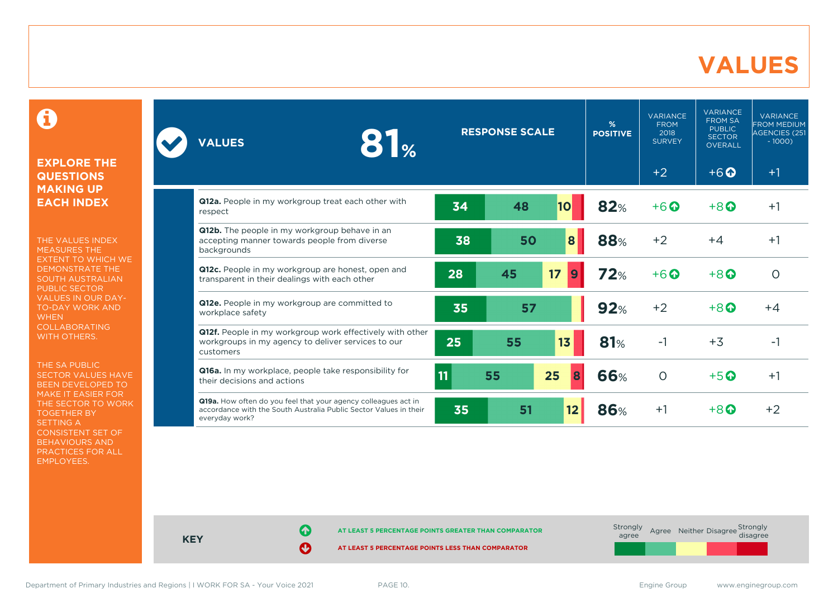### **VALUES**

 $\mathbf \Theta$ 

#### **EXPLORE THE QUESTIONS MAKING UP EACH INDEX**

THE VALUES INDEX MEASURES THE EXTENT TO WHICH WE DEMONSTRATE THE SOUTH AUSTRALIAN PUBLIC SECTOR VALUES IN OUR DAY-TO-DAY WORK AND **WHEN** COLLABORATING WITH OTHERS.

THE SA PUBLIC SECTOR VALUES HAVE BEEN DEVELOPED TO MAKE IT EASIER FOR THE SECTOR TO WORK TOGETHER BY SETTING A CONSISTENT SET OF BEHAVIOURS AND PRACTICES FOR ALL EMPLOYEES.

| 81%<br><b>VALUES</b>                                                                                                                                  |    | <b>RESPONSE SCALE</b> |           | %<br><b>POSITIVE</b> | <b>VARIANCE</b><br><b>FROM</b><br>2018<br><b>SURVEY</b> | <b>VARIANCE</b><br><b>FROM SA</b><br><b>PUBLIC</b><br><b>SECTOR</b><br><b>OVERALL</b> | <b>VARIANCE</b><br><b>FROM MEDIUM</b><br><b>AGENCIES (251)</b><br>$-1000$ |
|-------------------------------------------------------------------------------------------------------------------------------------------------------|----|-----------------------|-----------|----------------------|---------------------------------------------------------|---------------------------------------------------------------------------------------|---------------------------------------------------------------------------|
|                                                                                                                                                       |    |                       |           |                      | $+2$                                                    | $+6$ <sup><math>\odot</math></sup>                                                    | $+1$                                                                      |
| Q12a. People in my workgroup treat each other with<br>respect                                                                                         | 34 | 48                    | <b>10</b> | 82%                  | $+6$ $\odot$                                            | $+8$ <sup><math>\Omega</math></sup>                                                   | $+1$                                                                      |
| Q12b. The people in my workgroup behave in an<br>accepting manner towards people from diverse<br>backgrounds                                          | 38 | 50                    | 8         | 88%                  | $+2$                                                    | $+4$                                                                                  | $+1$                                                                      |
| Q12c. People in my workgroup are honest, open and<br>transparent in their dealings with each other                                                    | 28 | 45                    | 17<br>9   | 72%                  | $+6$ <sup>O</sup>                                       | $+8$ <sup><math>\Omega</math></sup>                                                   | $\circ$                                                                   |
| Q12e. People in my workgroup are committed to<br>workplace safety                                                                                     | 35 | 57                    |           | 92%                  | $+2$                                                    | $+8$ <sup><math>\Omega</math></sup>                                                   | $+4$                                                                      |
| Q12f. People in my workgroup work effectively with other<br>workgroups in my agency to deliver services to our<br>customers                           | 25 | 55                    | 13        | 81%                  | $-1$                                                    | $+3$                                                                                  | $-1$                                                                      |
| Q16a. In my workplace, people take responsibility for<br>their decisions and actions                                                                  | 11 | 55                    | 25<br>8   | 66%                  | $\circ$                                                 | $+5$ <sup>O</sup>                                                                     | $+1$                                                                      |
| Q19a. How often do you feel that your agency colleagues act in<br>accordance with the South Australia Public Sector Values in their<br>everyday work? | 35 | 51                    | 12        | <b>86%</b>           | $+1$                                                    | $+8$ $\odot$                                                                          | $+2$                                                                      |

| <b>KEY</b> | AT LEAST 5 PERCENTAGE POINTS GREATER THAN COMPARATOR<br>AT LEAST 5 PERCENTAGE POINTS LESS THAN COMPARATOR | Strongly<br>agree |  | Agree Neither Disagree Strongly<br>disagree |  |
|------------|-----------------------------------------------------------------------------------------------------------|-------------------|--|---------------------------------------------|--|
|            |                                                                                                           |                   |  |                                             |  |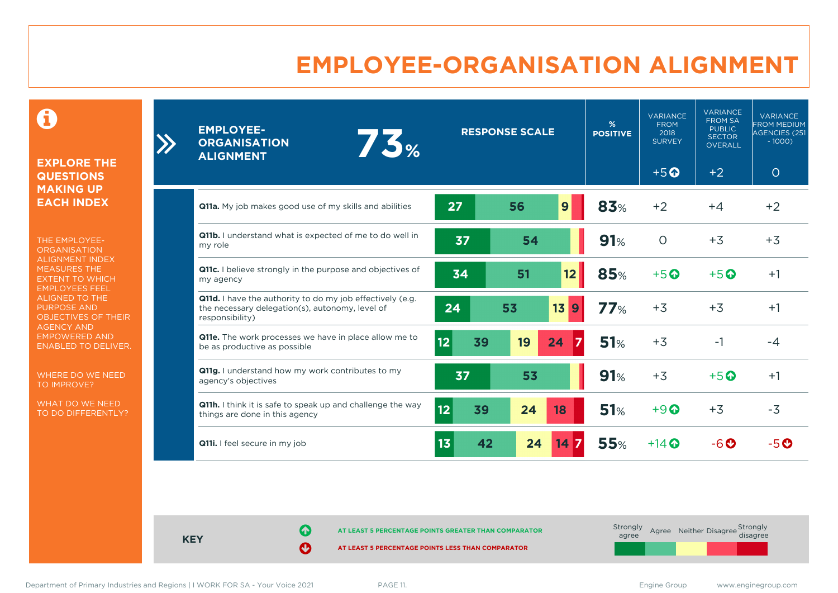### **EMPLOYEE-ORGANISATION ALIGNMENT**

0

**EXPLORE THE QUESTIONS MAKING UP EACH INDEX**

 $\sum_{i=1}^{n}$ 

THE EMPLOYEE-**ORGANISATION** ALIGNMENT INDEX MEASURES THE EXTENT TO WHICH EMPLOYEES FEEL ALIGNED TO THE PURPOSE AND OBJECTIVES OF THEIR AGENCY AND EMPOWERED AND ENABLED TO DELIVER.

WHERE DO WE NEED TO IMPROVE?

WHAT DO WE NEED TO DO DIFFERENTLY?

| <b>EMPLOYEE-</b><br>75%<br><b>ORGANISATION</b><br><b>ALIGNMENT</b>                                                              |    |    | <b>RESPONSE SCALE</b> |                    | %<br><b>POSITIVE</b> | <b>VARIANCE</b><br><b>FROM</b><br>2018<br><b>SURVEY</b> | <b>VARIANCE</b><br><b>FROM SA</b><br><b>PUBLIC</b><br><b>SECTOR</b><br><b>OVERALL</b> | <b>VARIANCE</b><br><b>FROM MEDIUM</b><br>AGENCIES (251<br>$-1000$ |
|---------------------------------------------------------------------------------------------------------------------------------|----|----|-----------------------|--------------------|----------------------|---------------------------------------------------------|---------------------------------------------------------------------------------------|-------------------------------------------------------------------|
|                                                                                                                                 |    |    |                       |                    |                      | $+5$ <sup>O</sup>                                       | $+2$                                                                                  | $\circ$                                                           |
| Q11a. My job makes good use of my skills and abilities                                                                          | 27 |    | 56                    | 9                  | 83%                  | $+2$                                                    | $+4$                                                                                  | $+2$                                                              |
| Q11b. I understand what is expected of me to do well in<br>my role                                                              | 37 |    | 54                    |                    | 91%                  | $\circ$                                                 | $+3$                                                                                  | $+3$                                                              |
| Q11c. I believe strongly in the purpose and objectives of<br>my agency                                                          | 34 |    | 51                    | 12                 | 85%                  | $+5$ <sup>O</sup>                                       | $+5$ <sup>O</sup>                                                                     | $+1$                                                              |
| Q11d. I have the authority to do my job effectively (e.g.<br>the necessary delegation(s), autonomy, level of<br>responsibility) | 24 |    | 53                    | 13<br>9            | 77%                  | $+3$                                                    | $+3$                                                                                  | $+1$                                                              |
| Q11e. The work processes we have in place allow me to<br>be as productive as possible                                           | 12 | 39 | 19                    | 24                 | 51%                  | $+3$                                                    | $-1$                                                                                  | $-4$                                                              |
| Q11g. I understand how my work contributes to my<br>agency's objectives                                                         | 37 |    | 53                    |                    | 91%                  | $+3$                                                    | $+5$ <sup><math>\odot</math></sup>                                                    | $+1$                                                              |
| Q11h. I think it is safe to speak up and challenge the way<br>things are done in this agency                                    | 12 | 39 | 24                    | 18                 | 51%                  | $+9$ <sup><math>\odot</math></sup>                      | $+3$                                                                                  | $-3$                                                              |
| Q11i. I feel secure in my job                                                                                                   | 13 | 42 | 24                    | $14 \, \textbf{7}$ | 55%                  | $+14$ $\odot$                                           | $-6$ $\odot$                                                                          | $-5o$                                                             |

**KEY**

**AT LEAST 5 PERCENTAGE POINTS GREATER THAN COMPARATOR** 

**AT LEAST 5 PERCENTAGE POINTS LESS THAN COMPARATOR** 

| Strongly<br>agree |  | Agree Neither Disagree Strongly<br>disagree |  |
|-------------------|--|---------------------------------------------|--|
|                   |  |                                             |  |

Department of Primary Industries and Regions | I WORK FOR SA - Your Voice 2021 PAGE 11. example 2021 PAGE 11.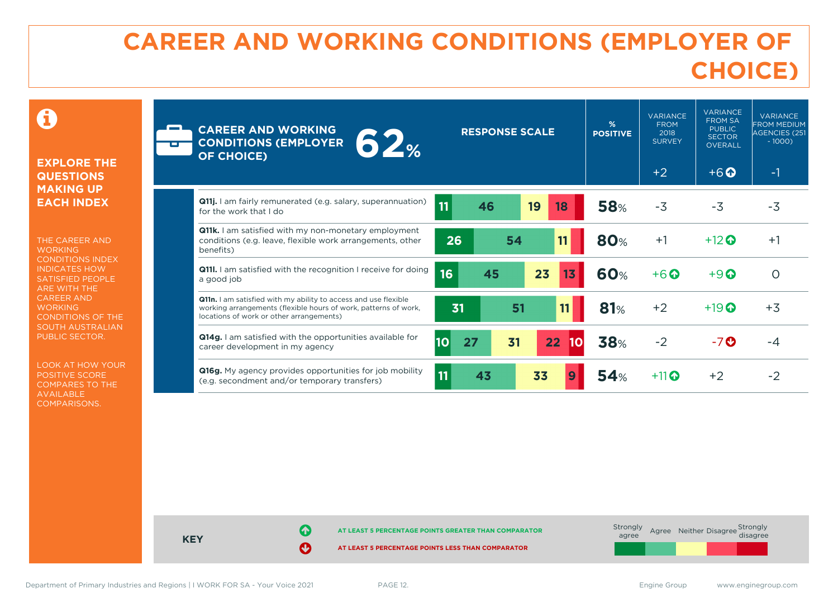### **CAREER AND WORKING CONDITIONS (EMPLOYER OF CHOICE)**

 $\mathbf \Omega$ 

#### **EXPLORE THE QUESTIONS MAKING UP EACH INDEX**

THE CAREER AND **WORKING** CONDITIONS INDEX INDICATES HOW SATISFIED PEOPLE ARE WITH THE CAREER AND **WORKING** CONDITIONS OF THE SOUTH AUSTRALIAN PUBLIC SECTOR.

LOOK AT HOW YOUR POSITIVE SCORE COMPARES TO THE AVAILABLE COMPARISONS.

| <b>CAREER AND WORKING</b><br>62%<br><b>CONDITIONS (EMPLOYER</b><br>OF CHOICE)                                                                                                  | <b>RESPONSE SCALE</b>                     | %<br><b>POSITIVE</b> | <b>VARIANCE</b><br><b>FROM</b><br>2018<br><b>SURVEY</b> | <b>VARIANCE</b><br><b>FROM SA</b><br><b>PUBLIC</b><br><b>SECTOR</b><br><b>OVERALL</b> | <b>VARIANCE</b><br><b>FROM MEDIUM</b><br>AGENCIES (251<br>$-1000$ |
|--------------------------------------------------------------------------------------------------------------------------------------------------------------------------------|-------------------------------------------|----------------------|---------------------------------------------------------|---------------------------------------------------------------------------------------|-------------------------------------------------------------------|
|                                                                                                                                                                                |                                           |                      | $+2$                                                    | $+6$ $\odot$                                                                          | $-1$                                                              |
| <b>Q11j.</b> I am fairly remunerated (e.g. salary, superannuation)<br>for the work that I do                                                                                   | 11<br>19<br>46<br>18                      | <b>58%</b>           | $-3$                                                    | $-3$                                                                                  | $-3$                                                              |
| Q11k. I am satisfied with my non-monetary employment<br>conditions (e.g. leave, flexible work arrangements, other<br>benefits)                                                 | 54<br>26<br>11                            | <b>80%</b>           | $+1$                                                    | $+12$ $\odot$                                                                         | $+1$                                                              |
| <b>Q11I.</b> I am satisfied with the recognition I receive for doing<br>a good job                                                                                             | 16<br>23<br>45<br>13                      | <b>60%</b>           | $+6$ $\odot$                                            | $+9$ $\odot$                                                                          | $\Omega$                                                          |
| Q11n. I am satisfied with my ability to access and use flexible<br>working arrangements (flexible hours of work, patterns of work,<br>locations of work or other arrangements) | 51<br>31<br>11                            | 81%                  | $+2$                                                    | $+19$ $\odot$                                                                         | $+3$                                                              |
| <b>Q14g.</b> I am satisfied with the opportunities available for<br>career development in my agency                                                                            | 10 <br>27<br>31<br>22 <sub>2</sub><br> 10 | 38%                  | $-2$                                                    | $-7$ $\odot$                                                                          | -4                                                                |
| Q16g. My agency provides opportunities for job mobility<br>(e.g. secondment and/or temporary transfers)                                                                        | 11<br>43<br>33                            | 54%                  | $+11$                                                   | $+2$                                                                                  | $-2$                                                              |

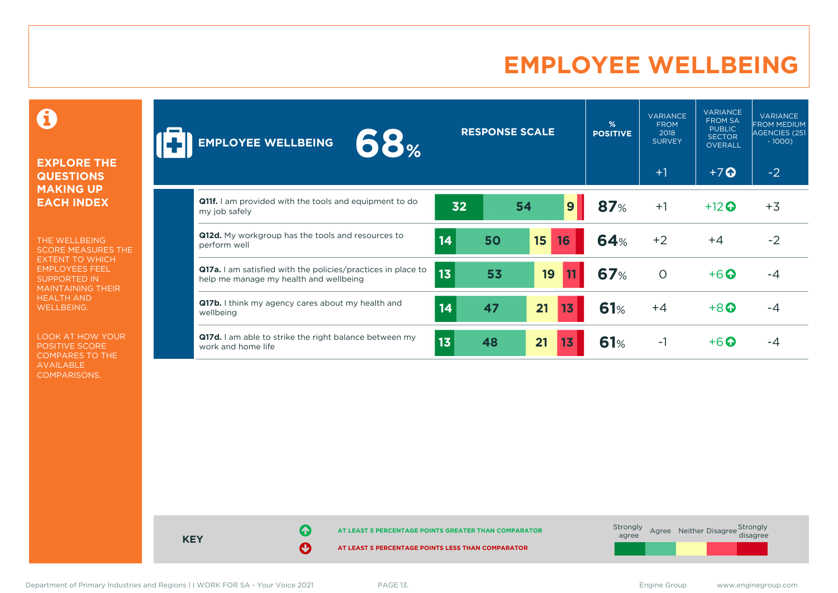### **EMPLOYEE WELLBEING**

0

#### **EXPLORE THE QUESTIONS MAKING UP EACH INDEX**

THE WELLBEING SCORE MEASURES THE EXTENT TO WHICH EMPLOYEES FEEL SUPPORTED IN MAINTAINING THEIR HEALTH AND WELLBEING.

LOOK AT HOW YOUR POSITIVE SCORE COMPARES TO THE AVAILABLE COMPARISONS.

| <b>68%</b><br><b>EMPLOYEE WELLBEING</b>                                                                |                 |    | <b>RESPONSE SCALE</b> |    | %<br><b>POSITIVE</b> | <b>VARIANCE</b><br><b>FROM</b><br>2018<br><b>SURVEY</b> | <b>VARIANCE</b><br><b>FROM SA</b><br><b>PUBLIC</b><br><b>SECTOR</b><br><b>OVERALL</b> | <b>VARIANCE</b><br><b>FROM MEDIUM</b><br>AGENCIES (251<br>$-1000$ |
|--------------------------------------------------------------------------------------------------------|-----------------|----|-----------------------|----|----------------------|---------------------------------------------------------|---------------------------------------------------------------------------------------|-------------------------------------------------------------------|
|                                                                                                        |                 |    |                       |    |                      | $+1$                                                    | $+7$ $\odot$                                                                          | $-2$                                                              |
| <b>Q11f.</b> I am provided with the tools and equipment to do<br>my job safely                         | 32              |    | 54                    | 9  | 87%                  | $+1$                                                    | $+12$ <sup>O</sup>                                                                    | $+3$                                                              |
| <b>Q12d.</b> My workgroup has the tools and resources to<br>perform well                               | 14              | 50 | 15                    | 16 | <b>64%</b>           | $+2$                                                    | $+4$                                                                                  | $-2$                                                              |
| Q17a. I am satisfied with the policies/practices in place to<br>help me manage my health and wellbeing | 13              | 53 | 19                    |    | <b>67%</b>           | $\circ$                                                 | $+6$ <sup>O</sup>                                                                     | -4                                                                |
| Q17b. I think my agency cares about my health and<br>wellbeing                                         | 14              | 47 | 21                    | 13 | 61%                  | $+4$                                                    | $+8$ <sup><math>\odot</math></sup>                                                    | -4                                                                |
| Q17d. I am able to strike the right balance between my<br>work and home life                           | 13 <sub>1</sub> | 48 | 21                    | 43 | 61%                  | $-1$                                                    | $+6\Omega$                                                                            | -4                                                                |

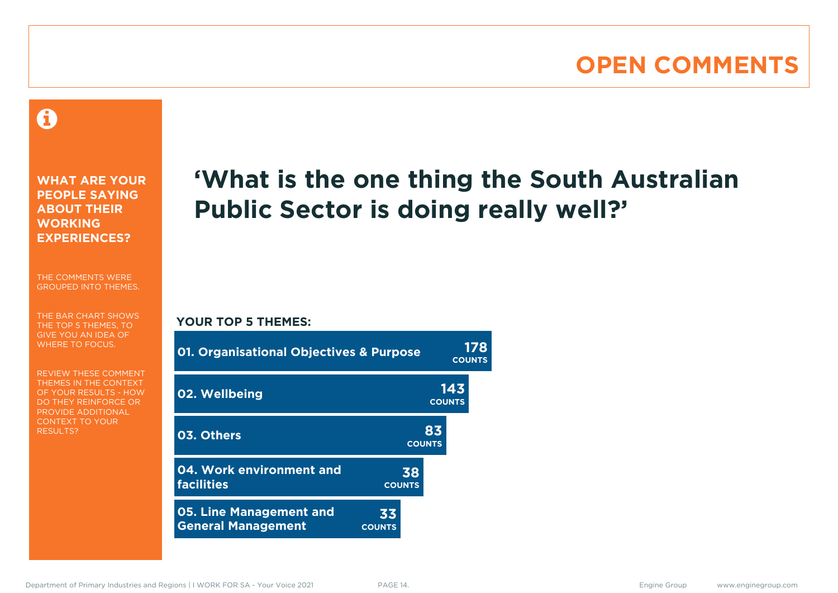### **OPEN COMMENTS**

### 0

**WHAT ARE YOUR PEOPLE SAYING ABOUT THEIR WORKING EXPERIENCES?**

THE COMMENTS WERE GROUPED INTO THEMES.

THE BAR CHART SHOWS THE TOP 5 THEMES, TO GIVE YOU AN IDEA OF WHERE TO FOCUS.

REVIEW THESE COMMENT THEMES IN THE CONTEXT OF YOUR RESULTS - HOW DO THEY REINFORCE OR PROVIDE ADDITIONAL CONTEXT TO YOUR **RESULTS?** 

## **'What is the one thing the South Australian Public Sector is doing really well?'**

#### **YOUR TOP 5 THEMES:**

| <b>01. Organisational Objectives &amp; Purpose</b>          |                     |                      | 178<br><b>COUNTS</b> |
|-------------------------------------------------------------|---------------------|----------------------|----------------------|
| 02. Wellbeing                                               |                     | 143<br><b>COUNTS</b> |                      |
| 03. Others                                                  |                     | 83<br><b>COUNTS</b>  |                      |
| 04. Work environment and<br><b>facilities</b>               | 38<br><b>COUNTS</b> |                      |                      |
| <b>05. Line Management and</b><br><b>General Management</b> | 33<br><b>COUNTS</b> |                      |                      |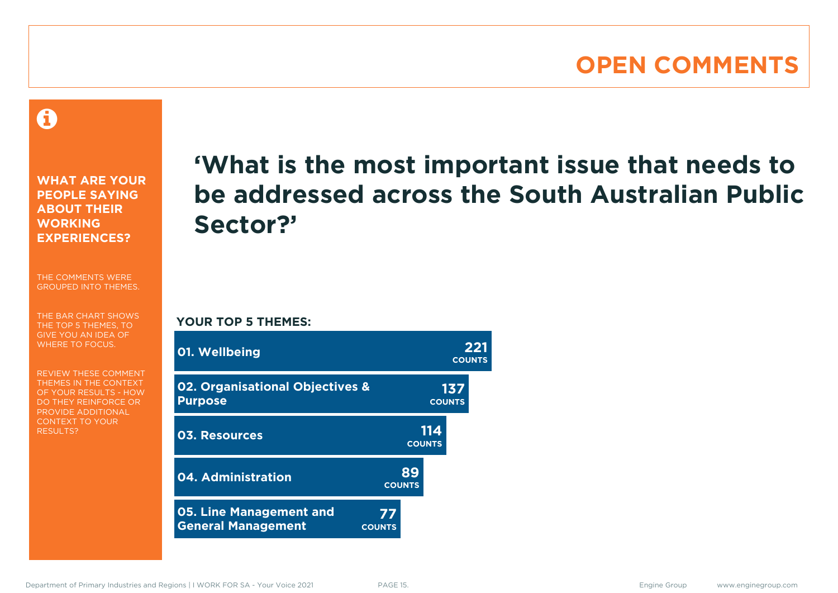### **OPEN COMMENTS**

A

**WHAT ARE YOUR PEOPLE SAYING ABOUT THEIR WORKING EXPERIENCES?**

THE COMMENTS WERE GROUPED INTO THEMES.

THE BAR CHART SHOWS THE TOP 5 THEMES, TO GIVE YOU AN IDEA OF WHERE TO FOCUS.

REVIEW THESE COMMENT THEMES IN THE CONTEXT OF YOUR RESULTS - HOW DO THEY REINFORCE OR PROVIDE ADDITIONAL CONTEXT TO YOUR **RESULTS?** 

## **'What is the most important issue that needs to be addressed across the South Australian Public Sector?'**

**YOUR TOP 5 THEMES:**

| 01. Wellbeing                                                |                     |                      | 221<br><b>COUNTS</b> |
|--------------------------------------------------------------|---------------------|----------------------|----------------------|
| <b>02. Organisational Objectives &amp;</b><br><b>Purpose</b> |                     | 137<br><b>COUNTS</b> |                      |
| <b>03. Resources</b>                                         |                     | 114<br><b>COUNTS</b> |                      |
| 04. Administration                                           | 89<br><b>COUNTS</b> |                      |                      |
| <b>05. Line Management and</b><br><b>General Management</b>  | 77<br><b>COUNTS</b> |                      |                      |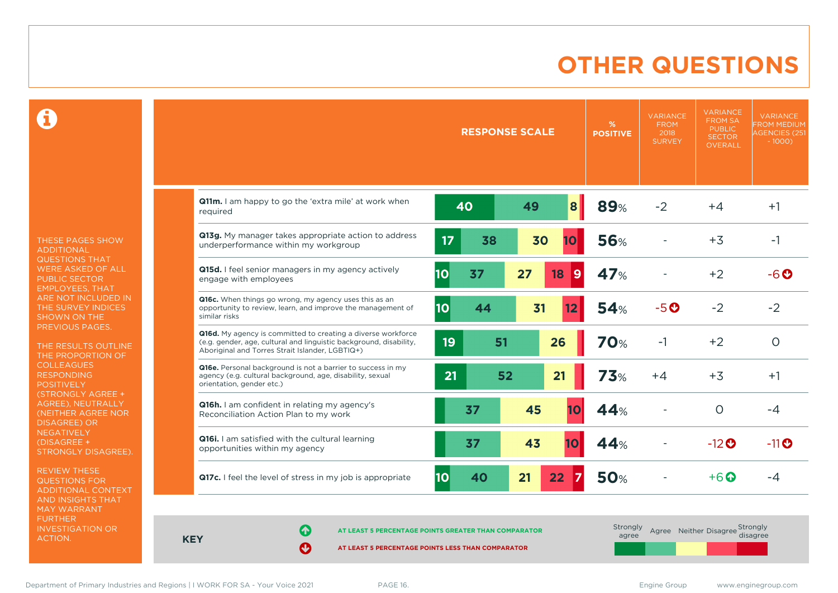### **OTHER QUESTIONS**

0

THESE PAGES SHOW ADDITIONAL QUESTIONS THAT WERE ASKED OF ALL PUBLIC SECTOR EMPLOYEES, THAT ARE NOT INCLUDED IN THE SURVEY INDICES SHOWN ON THE PREVIOUS PAGES.

THE RESULTS OUTLINE THE PROPORTION OF COLLEAGUES RESPONDING **POSITIVELY** (STRONGLY AGREE + AGREE), NEUTRALLY (NEITHER AGREE NOR DISAGREE) OR NEGATIVELY (DISAGREE + STRONGLY DISAGREE).

REVIEW THESE QUESTIONS FOR ADDITIONAL CONTEXT AND INSIGHTS THAT MAY WARRANT FURTHER INVESTIGATION OR ACTION.

|                                                                                                                                                                                       |                       | <b>RESPONSE SCALE</b> | %<br><b>POSITIVE</b> | <b>VARIANCE</b><br><b>FROM</b><br>2018<br><b>SURVEY</b> | <b>VARIANCE</b><br><b>FROM SA</b><br><b>PUBLIC</b><br><b>SECTOR</b><br><b>OVERALL</b> | <b>VARIANCE</b><br><b>FROM MEDIUM</b><br><b>AGENCIES (251</b><br>$-1000$ |
|---------------------------------------------------------------------------------------------------------------------------------------------------------------------------------------|-----------------------|-----------------------|----------------------|---------------------------------------------------------|---------------------------------------------------------------------------------------|--------------------------------------------------------------------------|
| Q11m. I am happy to go the 'extra mile' at work when<br>required                                                                                                                      | 40                    | 8<br>49               | <b>89%</b>           | $-2$                                                    | $+4$                                                                                  | $+1$                                                                     |
| Q13g. My manager takes appropriate action to address<br>underperformance within my workgroup                                                                                          | 17<br>38              | 30<br>10              | <b>56%</b>           |                                                         | $+3$                                                                                  | -1                                                                       |
| Q15d. I feel senior managers in my agency actively<br>engage with employees                                                                                                           | 10 <br>37             | 27<br>18<br>9         | 47%                  |                                                         | $+2$                                                                                  | $-6$ $O$                                                                 |
| Q16c. When things go wrong, my agency uses this as an<br>opportunity to review, learn, and improve the management of<br>similar risks                                                 | 10<br>44              | 31<br>12              | 54%                  | $-5o$                                                   | $-2$                                                                                  | $-2$                                                                     |
| Q16d. My agency is committed to creating a diverse workforce<br>(e.g. gender, age, cultural and linguistic background, disability,<br>Aboriginal and Torres Strait Islander, LGBTIQ+) | 19                    | 51<br>26              | <b>70%</b>           | $-1$                                                    | $+2$                                                                                  | $\circ$                                                                  |
| Q16e. Personal background is not a barrier to success in my<br>agency (e.g. cultural background, age, disability, sexual<br>orientation, gender etc.)                                 | 21                    | 52<br>21              | 73%                  | $+4$                                                    | $+3$                                                                                  | $+1$                                                                     |
| Q16h. I am confident in relating my agency's<br>Reconciliation Action Plan to my work                                                                                                 | 37                    | 45<br>10              | 44%                  |                                                         | $\Omega$                                                                              | $-4$                                                                     |
| <b>Q16i.</b> I am satisfied with the cultural learning<br>opportunities within my agency                                                                                              | 37                    | 43<br>10              | 44%                  |                                                         | $-12$ <sup>O</sup>                                                                    | $-11$ <sup>O</sup>                                                       |
| Q17c. I feel the level of stress in my job is appropriate                                                                                                                             | 10 <sub>1</sub><br>40 | 21<br>22<br>17        | <b>50%</b>           |                                                         | $+6\Omega$                                                                            | $-4$                                                                     |

**KEY**

**AT LEAST 5 PERCENTAGE POINTS GREATER THAN COMPARATOR** 

**AT LEAST 5 PERCENTAGE POINTS LESS THAN COMPARATOR** 

| Strongly<br>agree |  | Agree Neither Disagree Strongly<br>disagree |  |
|-------------------|--|---------------------------------------------|--|
|                   |  |                                             |  |

Department of Primary Industries and Regions | I WORK FOR SA - Your Voice 2021 PAGE 16. Engine Group www.enginegroup.com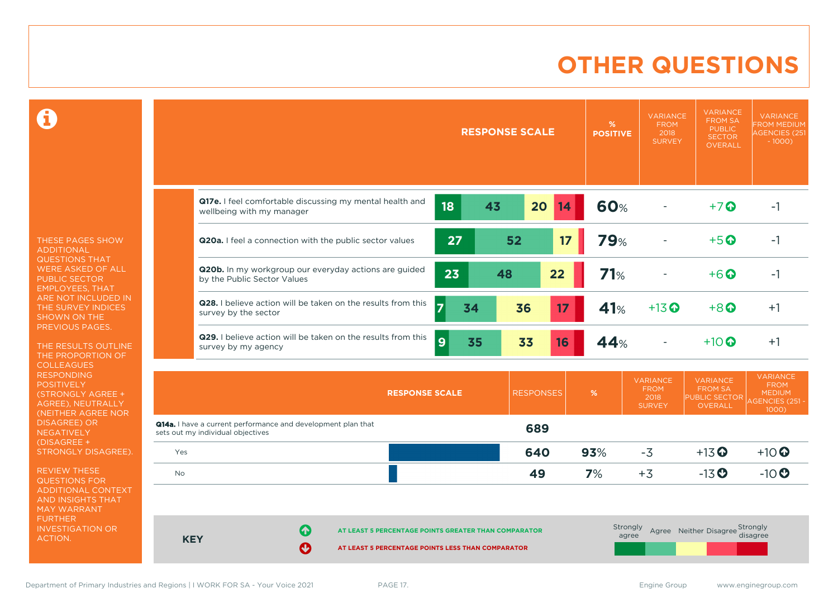### **OTHER QUESTIONS**

 $\mathbf \Theta$ 

THESE PAGES SHOW ADDITIONAL QUESTIONS THAT WERE ASKED OF ALL PUBLIC SECTOR EMPLOYEES, THAT ARE NOT INCLUDED IN THE SURVEY INDICES SHOWN ON THE PREVIOUS PAGES.

THE RESULTS OUTLINE THE PROPORTION OF COLLEAGUES RESPONDING **POSITIVELY** (STRONGLY AGREE + AGREE), NEUTRALLY (NEITHER AGREE NOR DISAGREE) OR NEGATIVELY (DISAGREE + STRONGLY DISAGREE).

REVIEW THESE QUESTIONS FOR ADDITIONAL CONTEXT AND INSIGHTS THAT MAY WARRANT FURTHER INVESTIGATION OR ACTION.

|            | <b>RESPONSE SCALE</b>                                                                                               |                  | $\%$<br><b>POSITIVE</b> | <b>VARIANCE</b><br><b>FROM</b><br>2018<br><b>SURVEY</b> | <b>VARIANCE</b><br><b>FROM SA</b><br><b>PUBLIC</b><br><b>SECTOR</b><br><b>OVERALL</b> | <b>VARIANCE</b><br><b>FROM MEDIUM</b><br><b>AGENCIES (251</b><br>$-1000$ )  |
|------------|---------------------------------------------------------------------------------------------------------------------|------------------|-------------------------|---------------------------------------------------------|---------------------------------------------------------------------------------------|-----------------------------------------------------------------------------|
|            | Q17e. I feel comfortable discussing my mental health and<br>18<br>43<br>wellbeing with my manager                   | 20<br>14         | <b>60%</b>              |                                                         | $+7$ $\odot$                                                                          | $-1$                                                                        |
|            | 27<br>Q20a. I feel a connection with the public sector values                                                       | 17<br>52         | <b>79%</b>              |                                                         | $+5$ <sup>O</sup>                                                                     | $-1$                                                                        |
|            | Q20b. In my workgroup our everyday actions are guided<br>23<br>48<br>by the Public Sector Values                    | 22               | 71%                     |                                                         | $+6$ $\odot$                                                                          | $-1$                                                                        |
|            | Q28. I believe action will be taken on the results from this<br>$\overline{7}$<br>34<br>survey by the sector        | 36<br>17         | 41%                     | $+13$ <sup>O</sup>                                      | $+8$ <sup><math>\odot</math></sup>                                                    | $+1$                                                                        |
|            | Q29. I believe action will be taken on the results from this<br>9<br>35<br>survey by my agency                      | 33<br>16         | 44%                     |                                                         | $+10$ $\odot$                                                                         | $+1$                                                                        |
|            | <b>RESPONSE SCALE</b>                                                                                               | <b>RESPONSES</b> | %                       | <b>VARIANCE</b><br><b>FROM</b><br>2018<br><b>SURVEY</b> | <b>VARIANCE</b><br><b>FROM SA</b><br>PUBLIC SECTOR<br><b>OVERALL</b>                  | <b>VARIANCE</b><br><b>FROM</b><br><b>MEDIUM</b><br>AGENCIES (251 -<br>1000) |
|            | Q14a. I have a current performance and development plan that<br>sets out my individual objectives                   | 689              |                         |                                                         |                                                                                       |                                                                             |
| Yes        |                                                                                                                     | 640              | 93%                     | $-3$                                                    | $+13$ <sup>O</sup>                                                                    | $+10$ <sup>O</sup>                                                          |
| <b>No</b>  |                                                                                                                     | 49               | 7%                      | $+3$                                                    | $-13$ <sup>O</sup>                                                                    | $-10$                                                                       |
| <b>KEY</b> | 6<br>AT LEAST 5 PERCENTAGE POINTS GREATER THAN COMPARATOR<br>Ø<br>AT LEAST 5 PERCENTAGE POINTS LESS THAN COMPARATOR |                  | Strongly<br>agree       |                                                         | Agree Neither Disagree Strongly                                                       | disagree                                                                    |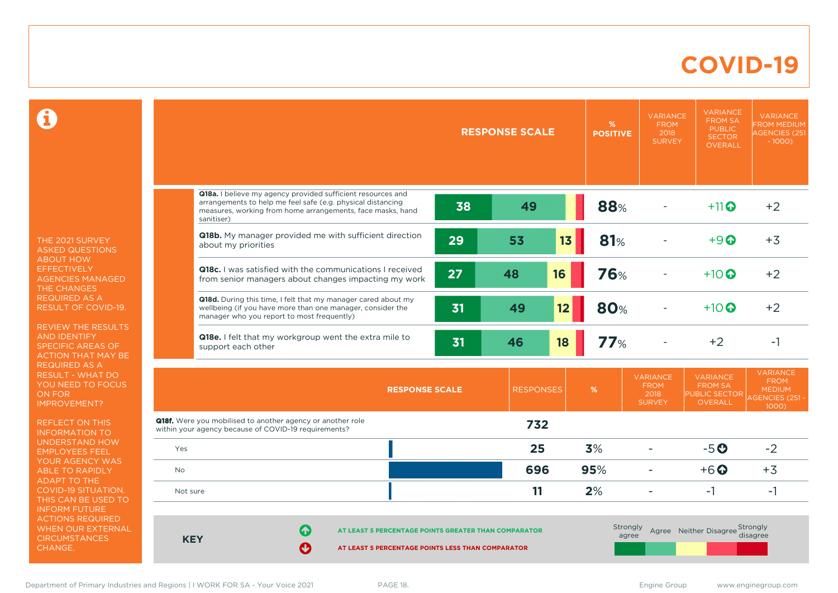### **COVID-19**

 $\mathbf \Omega$ 

THE 2021 SURVEY ASKED QUESTIONS ABOUT HOW **EFFECTIVELY** AGENCIES MANAGED THE CHANGES REQUIRED AS A RESULT OF COVID-19.

REVIEW THE RESULTS AND IDENTIFY SPECIFIC AREAS OF ACTION THAT MAY BE REQUIRED AS A RESULT - WHAT DO YOU NEED TO FOCUS ON FOR IMPROVEMENT?

REFLECT ON THIS INFORMATION TO UNDERSTAND HOW EMPLOYEES FEEL YOUR AGENCY WAS ABLE TO RAPIDLY ADAPT TO THE COVID-19 SITUATION. THIS CAN BE USED TO INFORM FUTURE ACTIONS REQUIRED WHEN OUR EXTERNAL **CIRCUMSTANCES** CHANGE.

|                                                                                                                                                                                                        |                                                                                                           | <b>RESPONSE SCALE</b> | %<br><b>POSITIVE</b>     | <b>VARIANCE</b><br><b>FROM</b><br>2018<br><b>SURVEY</b> | <b>VARIANCE</b><br><b>FROM SA</b><br><b>PUBLIC</b><br><b>SECTOR</b><br><b>OVERALL</b> | <b>VARIANCE</b><br><b>FROM MEDIUM</b><br><b>AGENCIES (251</b><br>$-1000$           |
|--------------------------------------------------------------------------------------------------------------------------------------------------------------------------------------------------------|-----------------------------------------------------------------------------------------------------------|-----------------------|--------------------------|---------------------------------------------------------|---------------------------------------------------------------------------------------|------------------------------------------------------------------------------------|
| Q18a. I believe my agency provided sufficient resources and<br>arrangements to help me feel safe (e.g. physical distancing<br>measures, working from home arrangements, face masks, hand<br>sanitiser) | 38                                                                                                        | 49                    | 88%                      |                                                         | $+11$                                                                                 | $+2$                                                                               |
| Q18b. My manager provided me with sufficient direction<br>about my priorities                                                                                                                          | 29                                                                                                        | 13<br>53              | <b>81%</b>               |                                                         | $+9$ $\odot$                                                                          | $+3$                                                                               |
| <b>Q18c.</b> I was satisfied with the communications I received<br>from senior managers about changes impacting my work                                                                                | 27                                                                                                        | 16<br>48              | <b>76%</b>               |                                                         | $+10$ $\odot$                                                                         | $+2$                                                                               |
| Q18d. During this time, I felt that my manager cared about my<br>wellbeing (if you have more than one manager, consider the<br>manager who you report to most frequently)                              | 31                                                                                                        | 49<br>12              | 80%                      |                                                         | $+10$ $\odot$                                                                         | $+2$                                                                               |
| Q18e. I felt that my workgroup went the extra mile to<br>support each other                                                                                                                            | 31                                                                                                        | 18<br>46              | 77%                      |                                                         | $+2$                                                                                  | $-1$                                                                               |
|                                                                                                                                                                                                        | <b>RESPONSE SCALE</b>                                                                                     | <b>RESPONSES</b>      | %                        | <b>VARIANCE</b><br><b>FROM</b><br>2018<br><b>SURVEY</b> | <b>VARIANCE</b><br><b>FROM SA</b><br>PUBLIC SECTOR<br><b>OVERALL</b>                  | <b>VARIANCE</b><br><b>FROM</b><br><b>MEDIUM</b><br><b>AGENCIES (251 -</b><br>1000) |
| <b>Q18f.</b> Were you mobilised to another agency or another role<br>within your agency because of COVID-19 requirements?                                                                              |                                                                                                           | 732                   |                          |                                                         |                                                                                       |                                                                                    |
| Yes                                                                                                                                                                                                    |                                                                                                           | 25                    | 3%                       |                                                         | $-5o$                                                                                 | $-2$                                                                               |
| No                                                                                                                                                                                                     |                                                                                                           | 696                   | 95%                      | ÷                                                       | $+6$ <sup>O</sup>                                                                     | $+3$                                                                               |
| Not sure                                                                                                                                                                                               |                                                                                                           | 11                    | 2%                       | ۳                                                       | $-1$                                                                                  | $-1$                                                                               |
| Q<br><b>KEY</b><br>$\boldsymbol{\Theta}$                                                                                                                                                               | AT LEAST 5 PERCENTAGE POINTS GREATER THAN COMPARATOR<br>AT LEAST 5 PERCENTAGE POINTS LESS THAN COMPARATOR |                       | <b>Strongly</b><br>agree |                                                         | Agree Neither Disagree Strongly                                                       | disagree                                                                           |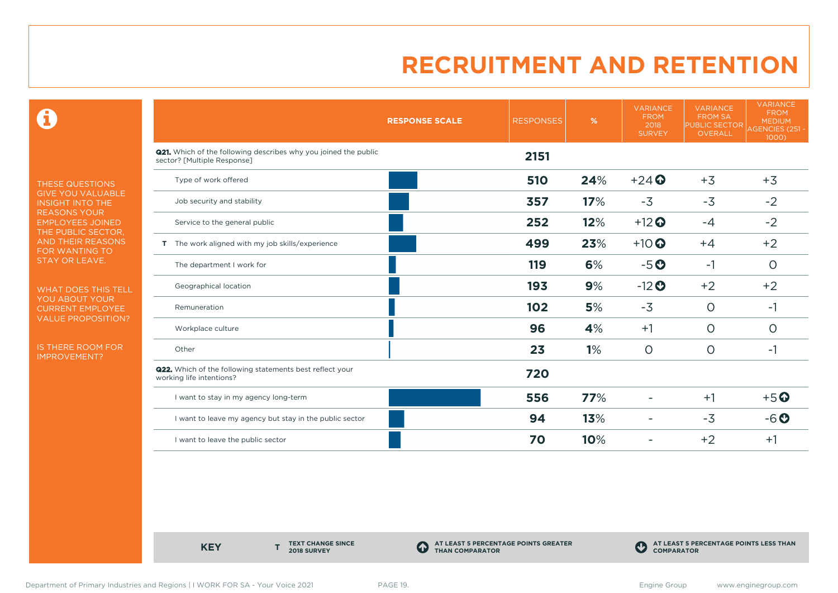$\mathbf \Theta$ 

THESE QUESTIONS GIVE YOU VALUABLE INSIGHT INTO THE REASONS YOUR EMPLOYEES JOINED THE PUBLIC SECTOR, AND THEIR REASONS FOR WANTING TO STAY OR LEAVE.

WHAT DOES THIS TELL YOU ABOUT YOUR CURRENT EMPLOYEE VALUE PROPOSITION?

IS THERE ROOM FOR IMPROVEMENT?

|                                                                                                       | <b>RESPONSE SCALE</b> | <b>RESPONSES</b> | %   | <b>VARIANCE</b><br><b>FROM</b><br>2018<br><b>SURVEY</b> | <b>VARIANCE</b><br><b>FROM SA</b><br><b>PUBLIC SECTOR</b><br><b>OVERALL</b> | <b>VARIANCE</b><br><b>FROM</b><br><b>MEDIUM</b><br>AGENCIES (251 -<br>1000) |
|-------------------------------------------------------------------------------------------------------|-----------------------|------------------|-----|---------------------------------------------------------|-----------------------------------------------------------------------------|-----------------------------------------------------------------------------|
| <b>Q21.</b> Which of the following describes why you joined the public<br>sector? [Multiple Response] |                       | 2151             |     |                                                         |                                                                             |                                                                             |
| Type of work offered                                                                                  |                       | <b>510</b>       | 24% | $+24$                                                   | $+3$                                                                        | $+3$                                                                        |
| Job security and stability                                                                            |                       | 357              | 17% | $-3$                                                    | $-3$                                                                        | $-2$                                                                        |
| Service to the general public                                                                         |                       | 252              | 12% | $+12$ <sup>O</sup>                                      | $-4$                                                                        | $-2$                                                                        |
| T The work aligned with my job skills/experience                                                      |                       | 499              | 23% | $+10$ <sup>O</sup>                                      | $+4$                                                                        | $+2$                                                                        |
| The department I work for                                                                             |                       | 119              | 6%  | $-5o$                                                   | $-1$                                                                        | $\circ$                                                                     |
| Geographical location                                                                                 |                       | 193              | 9%  | $-12$ <sup>O</sup>                                      | $+2$                                                                        | $+2$                                                                        |
| Remuneration                                                                                          |                       | 102              | 5%  | $-3$                                                    | $\circ$                                                                     | -1                                                                          |
| Workplace culture                                                                                     |                       | 96               | 4%  | $+1$                                                    | $\circ$                                                                     | 0                                                                           |
| Other                                                                                                 |                       | 23               | 1%  | $\circ$                                                 | $\circ$                                                                     | -1                                                                          |
| <b>Q22.</b> Which of the following statements best reflect your<br>working life intentions?           |                       | 720              |     |                                                         |                                                                             |                                                                             |
| I want to stay in my agency long-term                                                                 |                       | 556              | 77% |                                                         | $+1$                                                                        | $+5$ <sup>O</sup>                                                           |
| I want to leave my agency but stay in the public sector                                               |                       | 94               | 13% |                                                         | $-3$                                                                        | $-6o$                                                                       |
| I want to leave the public sector                                                                     |                       | 70               | 10% |                                                         | $+2$                                                                        | $+1$                                                                        |

**KEY** 

**TEXT CHANGE SINCE 2018 SURVEY**

**AT LEAST 5 PERCENTAGE POINTS GREATER THAN COMPARATOR**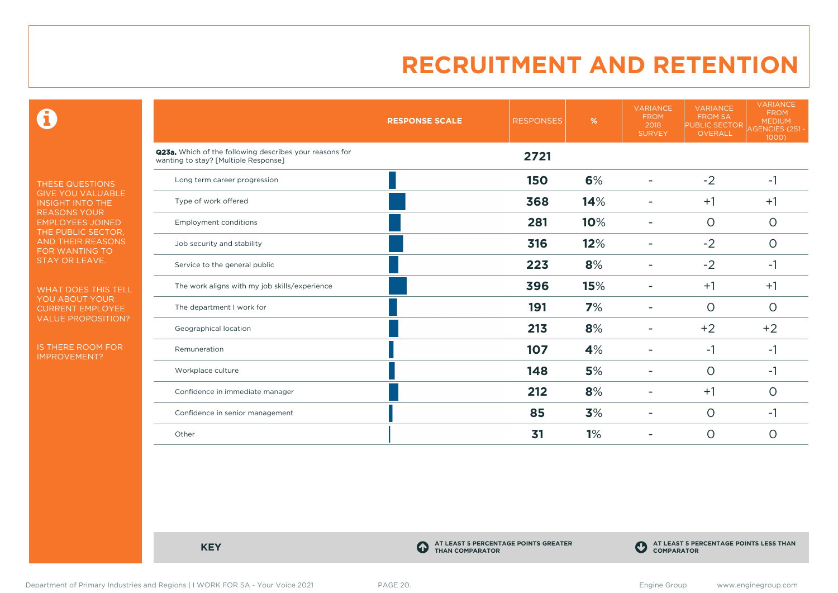$\mathbf \Theta$ 

THESE QUESTIONS GIVE YOU VALUABLE INSIGHT INTO THE REASONS YOUR EMPLOYEES JOINED THE PUBLIC SECTOR, AND THEIR REASONS FOR WANTING TO STAY OR LEAVE.

WHAT DOES THIS TELL YOU ABOUT YOUR CURRENT EMPLOYEE VALUE PROPOSITION?

IS THERE ROOM FOR IMPROVEMENT?

|                                                                                                 | <b>RESPONSE SCALE</b> | <b>RESPONSES</b> | %   | <b>VARIANCE</b><br><b>FROM</b><br>2018<br><b>SURVEY</b> | <b>VARIANCE</b><br><b>FROM SA</b><br><b>PUBLIC SECTOR</b><br><b>OVERALL</b> | <b>VARIANCE</b><br><b>FROM</b><br><b>MEDIUM</b><br>AGENCIES (251 -<br>1000) |
|-------------------------------------------------------------------------------------------------|-----------------------|------------------|-----|---------------------------------------------------------|-----------------------------------------------------------------------------|-----------------------------------------------------------------------------|
| Q23a. Which of the following describes your reasons for<br>wanting to stay? [Multiple Response] |                       | 2721             |     |                                                         |                                                                             |                                                                             |
| Long term career progression                                                                    |                       | <b>150</b>       | 6%  |                                                         | $-2$                                                                        | $-1$                                                                        |
| Type of work offered                                                                            |                       | 368              | 14% |                                                         | $+1$                                                                        | $+1$                                                                        |
| <b>Employment conditions</b>                                                                    |                       | 281              | 10% |                                                         | $\circ$                                                                     | $\circ$                                                                     |
| Job security and stability                                                                      |                       | 316              | 12% |                                                         | $-2$                                                                        | $\circ$                                                                     |
| Service to the general public                                                                   |                       | 223              | 8%  |                                                         | $-2$                                                                        | $-1$                                                                        |
| The work aligns with my job skills/experience                                                   |                       | 396              | 15% |                                                         | $+1$                                                                        | $+1$                                                                        |
| The department I work for                                                                       |                       | 191              | 7%  |                                                         | $\Omega$                                                                    | $\circ$                                                                     |
| Geographical location                                                                           |                       | 213              | 8%  |                                                         | $+2$                                                                        | $+2$                                                                        |
| Remuneration                                                                                    |                       | 107              | 4%  |                                                         | $-1$                                                                        | $-1$                                                                        |
| Workplace culture                                                                               |                       | 148              | 5%  | -                                                       | $\circ$                                                                     | $-1$                                                                        |
| Confidence in immediate manager                                                                 |                       | 212              | 8%  |                                                         | $+1$                                                                        | 0                                                                           |
| Confidence in senior management                                                                 |                       | 85               | 3%  |                                                         | $\circ$                                                                     | $-1$                                                                        |
| Other                                                                                           |                       | 31               | 1%  |                                                         | $\circ$                                                                     | 0                                                                           |

**KEY C**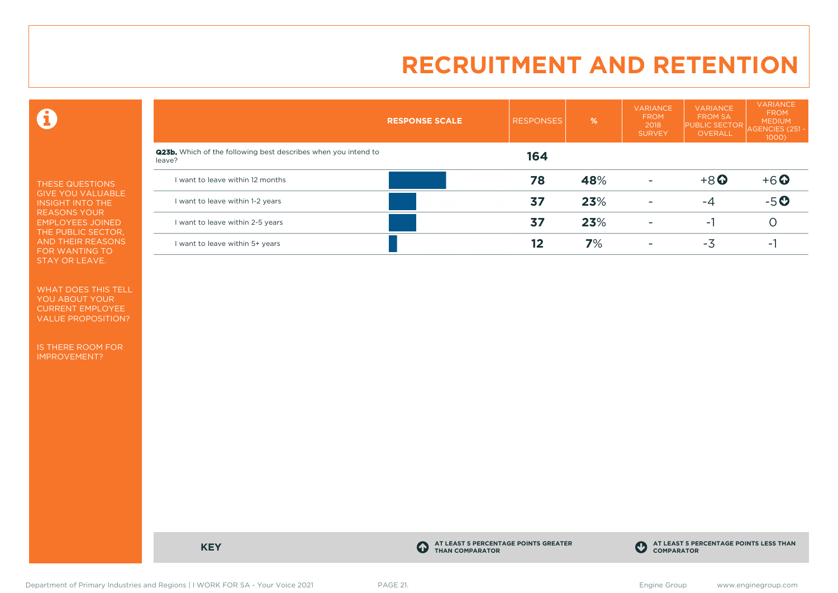$\mathbf \Theta$ 

THESE QUESTIONS GIVE YOU VALUABLE INSIGHT INTO THE REASONS YOUR EMPLOYEES JOINED THE PUBLIC SECTOR, AND THEIR REASONS FOR WANTING TO STAY OR LEAVE.

WHAT DOES THIS TELL YOU ABOUT YOUR CURRENT EMPLOYEE VALUE PROPOSITION?

IS THERE ROOM FOR IMPROVEMENT?

|                                                                                 | <b>RESPONSE SCALE</b> | <b>RESPONSES</b> | $\frac{9}{6}$ | <b>VARIANCE</b><br><b>FROM</b><br>2018<br><b>SURVEY</b> | <b>VARIANCE</b><br><b>FROM SA</b><br><b>PUBLIC SECTOR</b><br>OVERALL | VARIANCE<br><b>FROM</b><br><b>MEDIUM</b><br>AGENCIES (251 ·<br>1000) |
|---------------------------------------------------------------------------------|-----------------------|------------------|---------------|---------------------------------------------------------|----------------------------------------------------------------------|----------------------------------------------------------------------|
| <b>Q23b.</b> Which of the following best describes when you intend to<br>leave? |                       | 164              |               |                                                         |                                                                      |                                                                      |
| I want to leave within 12 months                                                |                       | 78               | 48%           | ٠                                                       | $+8$ <sup>O</sup>                                                    | $+6$ $\odot$                                                         |
| want to leave within 1-2 years                                                  |                       | 37               | 23%           | ۰                                                       | -4                                                                   | $-5o$                                                                |
| I want to leave within 2-5 years                                                |                       | 37               | 23%           | -                                                       | - 1                                                                  |                                                                      |
| I want to leave within 5+ years                                                 |                       | 12               | 7%            | ٠                                                       | -3                                                                   |                                                                      |

**KEY C** 

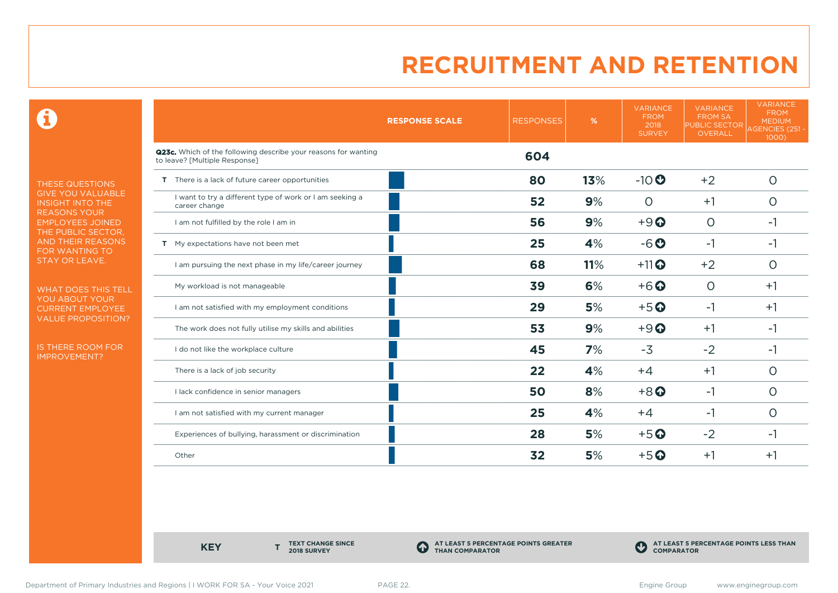$\mathbf \Theta$ 

THESE QUESTIONS GIVE YOU VALUABLE INSIGHT INTO THE REASONS YOUR EMPLOYEES JOINED THE PUBLIC SECTOR, AND THEIR REASONS FOR WANTING TO STAY OR LEAVE.

WHAT DOES THIS TELL YOU ABOUT YOUR CURRENT EMPLOYEE VALUE PROPOSITION?

IS THERE ROOM FOR IMPROVEMENT?

|                                                                                                 | <b>RESPONSE SCALE</b> | <b>RESPONSES</b> | %   | <b>VARIANCE</b><br><b>FROM</b><br>2018<br><b>SURVEY</b> | <b>VARIANCE</b><br><b>FROM SA</b><br><b>PUBLIC SECTOR</b><br>OVERALL | <b>VARIANCE</b><br><b>FROM</b><br><b>MEDIUM</b><br><b>AGENCIES (251 -</b><br>$1000$ ) |
|-------------------------------------------------------------------------------------------------|-----------------------|------------------|-----|---------------------------------------------------------|----------------------------------------------------------------------|---------------------------------------------------------------------------------------|
| Q23c. Which of the following describe your reasons for wanting<br>to leave? [Multiple Response] |                       | 604              |     |                                                         |                                                                      |                                                                                       |
| T There is a lack of future career opportunities                                                |                       | 80               | 13% | $-10$                                                   | $+2$                                                                 | $\circ$                                                                               |
| I want to try a different type of work or I am seeking a<br>career change                       |                       | 52               | 9%  | $\Omega$                                                | $+1$                                                                 | O                                                                                     |
| I am not fulfilled by the role I am in                                                          |                       | 56               | 9%  | $+9$ <sup><math>\odot</math></sup>                      | $\Omega$                                                             | -1                                                                                    |
| T My expectations have not been met                                                             |                       | 25               | 4%  | $-6o$                                                   | $-1$                                                                 | -1                                                                                    |
| I am pursuing the next phase in my life/career journey                                          |                       | 68               | 11% | $+11$ <sup>O</sup>                                      | $+2$                                                                 | O                                                                                     |
| My workload is not manageable                                                                   |                       | 39               | 6%  | $+6$ <sup>O</sup>                                       | $\Omega$                                                             | $+1$                                                                                  |
| I am not satisfied with my employment conditions                                                |                       | 29               | 5%  | $+5$ <sup>O</sup>                                       | $-1$                                                                 | $+1$                                                                                  |
| The work does not fully utilise my skills and abilities                                         |                       | 53               | 9%  | $+9$ <sup><math>\odot</math></sup>                      | $+1$                                                                 | -1                                                                                    |
| I do not like the workplace culture                                                             |                       | 45               | 7%  | $-3$                                                    | $-2$                                                                 | -1                                                                                    |
| There is a lack of job security                                                                 |                       | 22               | 4%  | $+4$                                                    | $+1$                                                                 | O                                                                                     |
| I lack confidence in senior managers                                                            |                       | 50               | 8%  | $+8$ <sup>O</sup>                                       | $-1$                                                                 | O                                                                                     |
| I am not satisfied with my current manager                                                      |                       | 25               | 4%  | $+4$                                                    | -1                                                                   | O                                                                                     |
| Experiences of bullying, harassment or discrimination                                           |                       | 28               | 5%  | $+5$ <sup>O</sup>                                       | $-2$                                                                 | -1                                                                                    |
| Other                                                                                           |                       | 32               | 5%  | $+5$ <sup>O</sup>                                       | $+1$                                                                 | $+1$                                                                                  |

**KEY** 

**TEXT CHANGE SINCE 2018 SURVEY**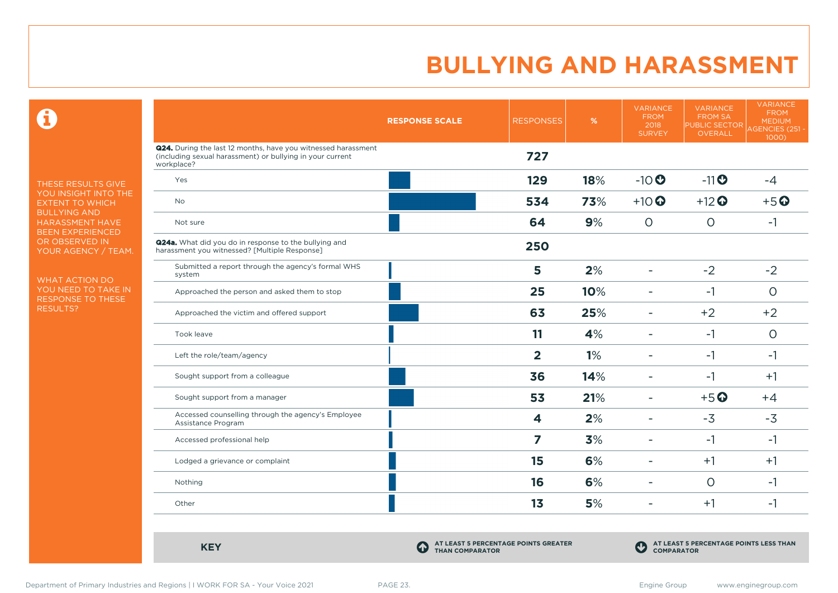$\mathbf \Omega$ 

THESE RESULTS GIVE YOU INSIGHT INTO THE EXTENT TO WHICH BULLYING AND HARASSMENT HAVE BEEN EXPERIENCED OR OBSERVED IN YOUR AGENCY / TEAM.

WHAT ACTION DO YOU NEED TO TAKE IN RESPONSE TO THESE RESULTS?

|                                                                                                                                          | <b>RESPONSE SCALE</b> | <b>RESPONSES</b>        | %   | <b>VARIANCE</b><br><b>FROM</b><br>2018<br><b>SURVEY</b> | <b>VARIANCE</b><br><b>FROM SA</b><br><b>PUBLIC SECTOR</b><br><b>OVERALL</b> | <b>VARIANCE</b><br><b>FROM</b><br><b>MEDIUM</b><br><b>AGENCIES (251-</b><br>1000) |
|------------------------------------------------------------------------------------------------------------------------------------------|-----------------------|-------------------------|-----|---------------------------------------------------------|-----------------------------------------------------------------------------|-----------------------------------------------------------------------------------|
| Q24. During the last 12 months, have you witnessed harassment<br>(including sexual harassment) or bullying in your current<br>workplace? |                       | 727                     |     |                                                         |                                                                             |                                                                                   |
| Yes                                                                                                                                      |                       | 129                     | 18% | $-10$                                                   | $-11$                                                                       | $-4$                                                                              |
| <b>No</b>                                                                                                                                |                       | 534                     | 73% | $+10$ $\odot$                                           | $+12$ <sup>O</sup>                                                          | $+5$ <sup>O</sup>                                                                 |
| Not sure                                                                                                                                 |                       | 64                      | 9%  | $\circ$                                                 | $\circ$                                                                     | $-1$                                                                              |
| Q24a. What did you do in response to the bullying and<br>harassment you witnessed? [Multiple Response]                                   |                       | 250                     |     |                                                         |                                                                             |                                                                                   |
| Submitted a report through the agency's formal WHS<br>system                                                                             |                       | 5                       | 2%  | ۰                                                       | $-2$                                                                        | $-2$                                                                              |
| Approached the person and asked them to stop                                                                                             |                       | 25                      | 10% |                                                         | $-1$                                                                        | $\Omega$                                                                          |
| Approached the victim and offered support                                                                                                |                       | 63                      | 25% | ۰                                                       | $+2$                                                                        | $+2$                                                                              |
| Took leave                                                                                                                               |                       | 11                      | 4%  | $\blacksquare$                                          | $-1$                                                                        | $\circ$                                                                           |
| Left the role/team/agency                                                                                                                |                       | $\overline{2}$          | 1%  |                                                         | $-1$                                                                        | $-1$                                                                              |
| Sought support from a colleague                                                                                                          |                       | 36                      | 14% | ۰                                                       | $-1$                                                                        | $+1$                                                                              |
| Sought support from a manager                                                                                                            |                       | 53                      | 21% | $\blacksquare$                                          | $+5$ <sup>O</sup>                                                           | $+4$                                                                              |
| Accessed counselling through the agency's Employee<br>Assistance Program                                                                 |                       | $\overline{\mathbf{4}}$ | 2%  | ۰                                                       | $-3$                                                                        | $-3$                                                                              |
| Accessed professional help                                                                                                               |                       | 7                       | 3%  | $\overline{\phantom{a}}$                                | $-1$                                                                        | $-1$                                                                              |
| Lodged a grievance or complaint                                                                                                          |                       | 15                      | 6%  | ۳                                                       | $+1$                                                                        | $+1$                                                                              |
| Nothing                                                                                                                                  |                       | 16                      | 6%  | $\overline{\phantom{a}}$                                | $\circ$                                                                     | $-1$                                                                              |
| Other                                                                                                                                    |                       | 1 <sub>3</sub>          | 5%  | ۰                                                       | $+1$                                                                        | $-1$                                                                              |

**KEY C** 

**AT LEAST 5 PERCENTAGE POINTS GREATER THAN COMPARATOR**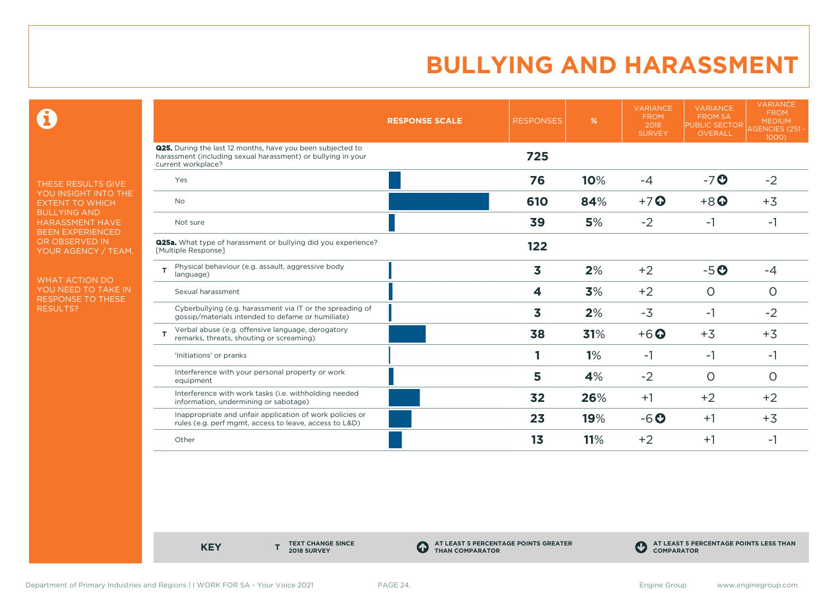$\mathbf \Theta$ 

THESE RESULTS GIVE YOU INSIGHT INTO THE EXTENT TO WHICH BULLYING AND HARASSMENT HAVE BEEN EXPERIENCED OR OBSERVED IN YOUR AGENCY / TEAM.

WHAT ACTION DO YOU NEED TO TAKE IN RESPONSE TO THESE RESULTS?

|                                                                                                                                                         | <b>RESPONSE SCALE</b> | <b>RESPONSES</b>        | %   | <b>VARIANCE</b><br><b>FROM</b><br>2018<br><b>SURVEY</b> | <b>VARIANCE</b><br><b>FROM SA</b><br><b>PUBLIC SECTOR</b><br>OVERALL | <b>VARIANCE</b><br><b>FROM</b><br><b>MEDIUM</b><br><b>AGENCIES (251 -</b><br>1000) |
|---------------------------------------------------------------------------------------------------------------------------------------------------------|-----------------------|-------------------------|-----|---------------------------------------------------------|----------------------------------------------------------------------|------------------------------------------------------------------------------------|
| <b>Q25.</b> During the last 12 months, have you been subjected to<br>harassment (including sexual harassment) or bullying in your<br>current workplace? |                       | 725                     |     |                                                         |                                                                      |                                                                                    |
| Yes                                                                                                                                                     |                       | 76                      | 10% | $-4$                                                    | $-7o$                                                                | $-2$                                                                               |
| <b>No</b>                                                                                                                                               |                       | 610                     | 84% | $+7$ $\odot$                                            | $+8$ <sup><math>\odot</math></sup>                                   | $+3$                                                                               |
| Not sure                                                                                                                                                |                       | 39                      | 5%  | $-2$                                                    | $-1$                                                                 | $-1$                                                                               |
| <b>Q25a.</b> What type of harassment or bullying did you experience?<br>[Multiple Response]                                                             |                       | 122                     |     |                                                         |                                                                      |                                                                                    |
| Physical behaviour (e.g. assault, aggressive body<br>т<br>language)                                                                                     |                       | 3                       | 2%  | $+2$                                                    | $-5o$                                                                | -4                                                                                 |
| Sexual harassment                                                                                                                                       |                       | $\overline{\mathbf{4}}$ | 3%  | $+2$                                                    | $\circ$                                                              | O                                                                                  |
| Cyberbullying (e.g. harassment via IT or the spreading of<br>gossip/materials intended to defame or humiliate)                                          |                       | 3                       | 2%  | $-3$                                                    | -1                                                                   | $-2$                                                                               |
| Verbal abuse (e.g. offensive language, derogatory<br>т<br>remarks, threats, shouting or screaming)                                                      |                       | 38                      | 31% | $+6$ $\odot$                                            | $+3$                                                                 | $+3$                                                                               |
| 'Initiations' or pranks                                                                                                                                 |                       |                         | 1%  | $-1$                                                    | $-1$                                                                 | -1                                                                                 |
| Interference with your personal property or work<br>equipment                                                                                           |                       | 5                       | 4%  | $-2$                                                    | $\circ$                                                              | $\circ$                                                                            |
| Interference with work tasks (i.e. withholding needed<br>information, undermining or sabotage)                                                          |                       | 32                      | 26% | $+1$                                                    | $+2$                                                                 | $+2$                                                                               |
| Inappropriate and unfair application of work policies or<br>rules (e.g. perf mgmt, access to leave, access to L&D)                                      |                       | 23                      | 19% | $-6o$                                                   | $+1$                                                                 | $+3$                                                                               |
| Other                                                                                                                                                   |                       | 1 <sub>3</sub>          | 11% | $+2$                                                    | $+1$                                                                 | -1                                                                                 |

**KEY** 

**TEXT CHANGE SINCE 2018 SURVEY**

**AT LEAST 5 PERCENTAGE POINTS GREATER THAN COMPARATOR**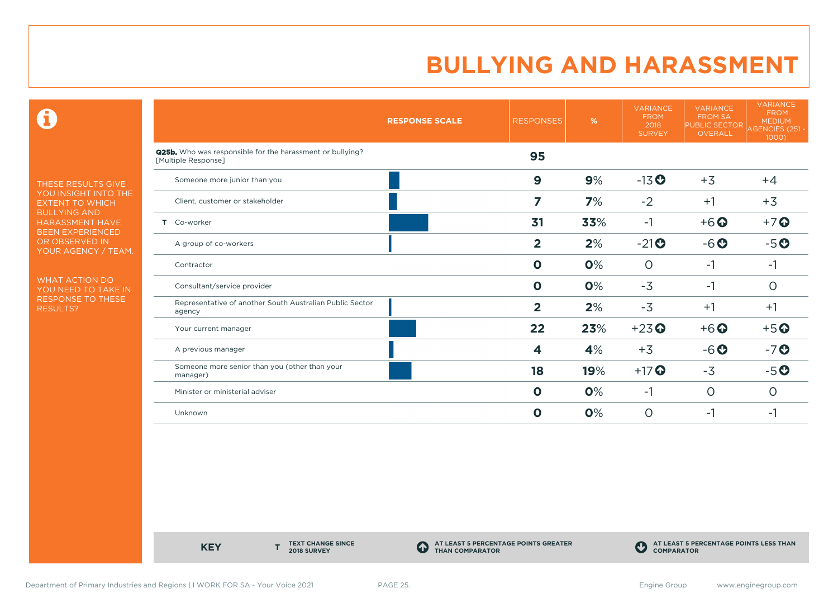$\mathbf \Theta$ 

THESE RESULTS GIVE YOU INSIGHT INTO THE EXTENT TO WHICH BULLYING AND HARASSMENT HAVE BEEN EXPERIENCED OR OBSERVED IN YOUR AGENCY / TEAM.

WHAT ACTION DO YOU NEED TO TAKE IN RESPONSE TO THESE RESULTS?

|                                                                                         | <b>RESPONSE SCALE</b> | <b>RESPONSES</b>        | %   | <b>VARIANCE</b><br><b>FROM</b><br>2018<br><b>SURVEY</b> | <b>VARIANCE</b><br><b>FROM SA</b><br><b>PUBLIC SECTOR</b><br><b>OVERALL</b> | <b>VARIANCE</b><br><b>FROM</b><br><b>MEDIUM</b><br>AGENCIES (251 -<br>1000) |
|-----------------------------------------------------------------------------------------|-----------------------|-------------------------|-----|---------------------------------------------------------|-----------------------------------------------------------------------------|-----------------------------------------------------------------------------|
| <b>Q25b.</b> Who was responsible for the harassment or bullying?<br>[Multiple Response] |                       | 95                      |     |                                                         |                                                                             |                                                                             |
| Someone more junior than you                                                            |                       | $\boldsymbol{9}$        | 9%  | $-13$ <sup>O</sup>                                      | $+3$                                                                        | $+4$                                                                        |
| Client, customer or stakeholder                                                         |                       | 7                       | 7%  | $-2$                                                    | $+1$                                                                        | $+3$                                                                        |
| T Co-worker                                                                             |                       | 31                      | 33% | $-1$                                                    | $+6$ <sup>O</sup>                                                           | $+7$ $\odot$                                                                |
| A group of co-workers                                                                   |                       | $\overline{\mathbf{2}}$ | 2%  | $-21$ <sup>O</sup>                                      | $-6o$                                                                       | $-5o$                                                                       |
| Contractor                                                                              |                       | $\mathbf 0$             | 0%  | $\circ$                                                 | $-1$                                                                        | $-1$                                                                        |
| Consultant/service provider                                                             |                       | $\mathbf 0$             | 0%  | $-3$                                                    | $-1$                                                                        | $\circ$                                                                     |
| Representative of another South Australian Public Sector<br>agency                      |                       | $\overline{2}$          | 2%  | $-3$                                                    | $+1$                                                                        | $+1$                                                                        |
| Your current manager                                                                    |                       | 22                      | 23% | $+23$ <sup>O</sup>                                      | $+6$ <sup>O</sup>                                                           | $+5$ <sup>O</sup>                                                           |
| A previous manager                                                                      |                       | 4                       | 4%  | $+3$                                                    | $-6o$                                                                       | $-7o$                                                                       |
| Someone more senior than you (other than your<br>manager)                               |                       | 18                      | 19% | $+17$ <sup>O</sup>                                      | $-3$                                                                        | $-5o$                                                                       |
| Minister or ministerial adviser                                                         |                       | $\mathbf 0$             | 0%  | $-1$                                                    | $\circ$                                                                     | $\circ$                                                                     |
| Unknown                                                                                 |                       | $\mathbf 0$             | 0%  | $\circ$                                                 | -1                                                                          | $-1$                                                                        |

**KEY** 

**TEXT CHANGE SINCE 2018 SURVEY**

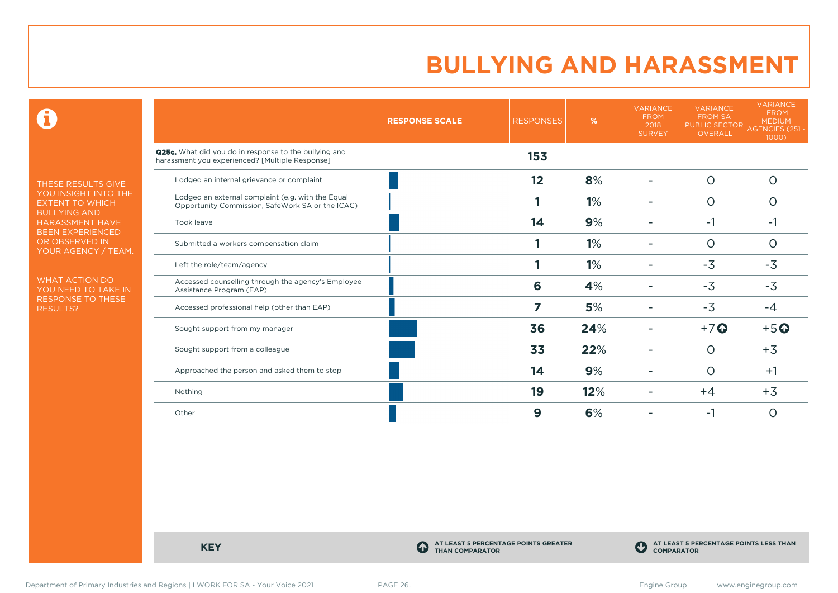$\mathbf \Theta$ 

THESE RESULTS GIVE YOU INSIGHT INTO THE EXTENT TO WHICH BULLYING AND HARASSMENT HAVE BEEN EXPERIENCED OR OBSERVED IN YOUR AGENCY / TEAM.

WHAT ACTION DO YOU NEED TO TAKE IN RESPONSE TO THESE RESULTS?

|                                                                                                                 | <b>RESPONSE SCALE</b> | <b>RESPONSES</b> | %   | <b>VARIANCE</b><br><b>FROM</b><br>2018<br><b>SURVEY</b> | <b>VARIANCE</b><br><b>FROM SA</b><br><b>PUBLIC SECTOR</b><br>OVERALL | <b>VARIANCE</b><br><b>FROM</b><br><b>MEDIUM</b><br>AGENCIES (251 -<br>1000) |
|-----------------------------------------------------------------------------------------------------------------|-----------------------|------------------|-----|---------------------------------------------------------|----------------------------------------------------------------------|-----------------------------------------------------------------------------|
| <b>Q25c.</b> What did you do in response to the bullying and<br>harassment you experienced? [Multiple Response] |                       | 153              |     |                                                         |                                                                      |                                                                             |
| Lodged an internal grievance or complaint                                                                       |                       | 12               | 8%  |                                                         | $\circ$                                                              | O                                                                           |
| Lodged an external complaint (e.g. with the Equal<br>Opportunity Commission, SafeWork SA or the ICAC)           |                       |                  | 1%  |                                                         | $\circ$                                                              | 0                                                                           |
| Took leave                                                                                                      |                       | 14               | 9%  |                                                         | $-1$                                                                 | -1                                                                          |
| Submitted a workers compensation claim                                                                          |                       |                  | 1%  |                                                         | $\circ$                                                              | O                                                                           |
| Left the role/team/agency                                                                                       |                       |                  | 1%  |                                                         | $-3$                                                                 | $-3$                                                                        |
| Accessed counselling through the agency's Employee<br>Assistance Program (EAP)                                  |                       | 6                | 4%  |                                                         | $-3$                                                                 | $-3$                                                                        |
| Accessed professional help (other than EAP)                                                                     |                       | 7                | 5%  |                                                         | $-3$                                                                 | $-4$                                                                        |
| Sought support from my manager                                                                                  |                       | 36               | 24% |                                                         | $+7$ $\odot$                                                         | $+5$ <sup>O</sup>                                                           |
| Sought support from a colleague                                                                                 |                       | 33               | 22% |                                                         | $\circ$                                                              | $+3$                                                                        |
| Approached the person and asked them to stop                                                                    |                       | 14               | 9%  |                                                         | $\circ$                                                              | $+1$                                                                        |
| Nothing                                                                                                         |                       | 19               | 12% |                                                         | $+4$                                                                 | $+3$                                                                        |
| Other                                                                                                           |                       | 9                | 6%  |                                                         | -1                                                                   | 0                                                                           |

**KEY C** 

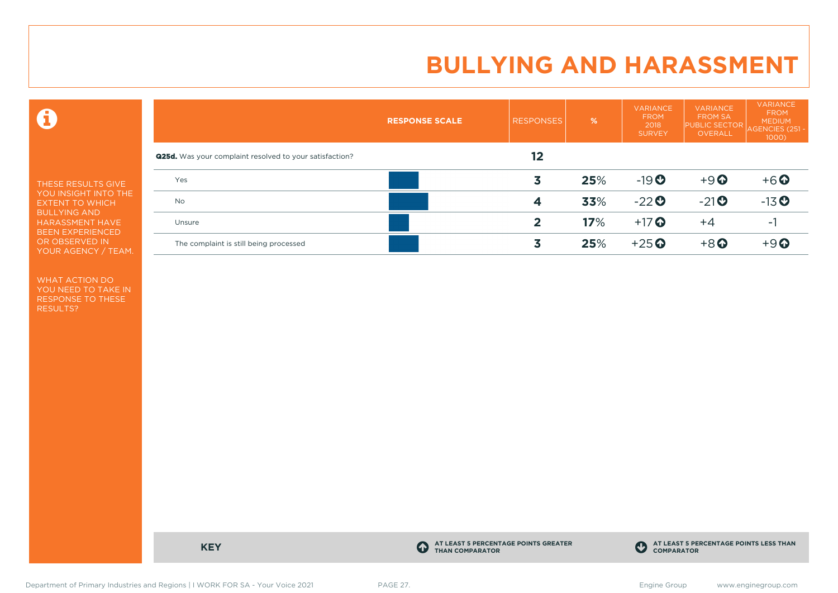$\mathbf \Theta$ 

THESE RESULTS GIVE YOU INSIGHT INTO THE EXTENT TO WHICH BULLYING AND HARASSMENT HAVE BEEN EXPERIENCED OR OBSERVED IN YOUR AGENCY / TEAM.

WHAT ACTION DO YOU NEED TO TAKE IN RESPONSE TO THESE RESULTS?

|                                                                | <b>RESPONSE SCALE</b> | <b>RESPONSES</b> | %   | <b>VARIANCE</b><br><b>FROM</b><br>2018<br><b>SURVEY</b> | <b>VARIANCE</b><br><b>FROM SA</b><br><b>PUBLIC SECTOR</b><br><b>OVERALL</b> | <b>VARIANCE</b><br><b>FROM</b><br><b>MEDIUM</b><br>AGENCIES (251 -<br>$1000$ ) |
|----------------------------------------------------------------|-----------------------|------------------|-----|---------------------------------------------------------|-----------------------------------------------------------------------------|--------------------------------------------------------------------------------|
| <b>Q25d.</b> Was your complaint resolved to your satisfaction? |                       | 12               |     |                                                         |                                                                             |                                                                                |
| Yes                                                            |                       | 3                | 25% | $-19O$                                                  | $+9$ <sup><math>\odot</math></sup>                                          | $+6$ $\odot$                                                                   |
| <b>No</b>                                                      |                       | 4                | 33% | $-22$                                                   | $-21$ <sup>O</sup>                                                          | $-13$ <sup>O</sup>                                                             |
| Unsure                                                         |                       | 2                | 17% | $+17$ $\odot$                                           | $+4$                                                                        | - 1                                                                            |
| The complaint is still being processed                         |                       | 3                | 25% | $+25$ <sup>O</sup>                                      | $+8$ <sup>O</sup>                                                           | $+9$ $\odot$                                                                   |

**KEY C** 

**AT LEAST 5 PERCENTAGE POINTS GREATER THAN COMPARATOR**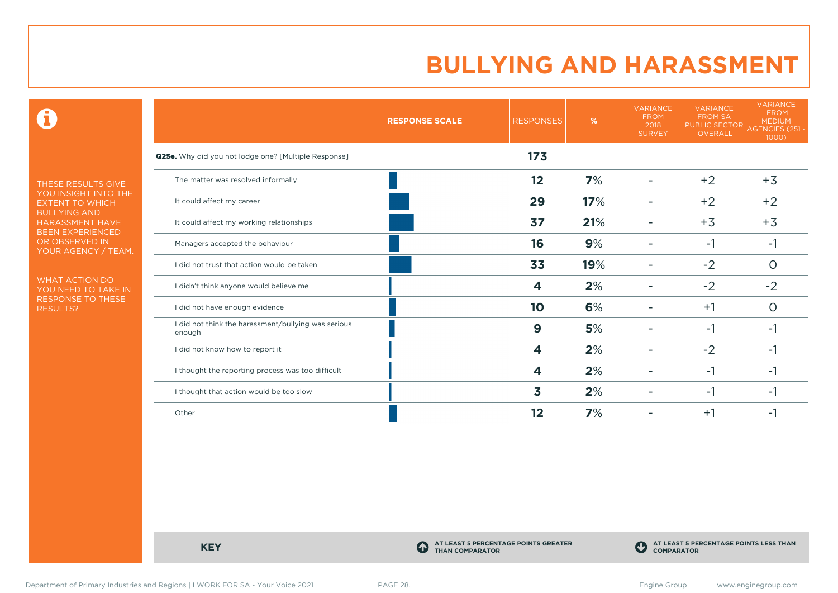$\mathbf \Theta$ 

THESE RESULTS GIVE YOU INSIGHT INTO THE EXTENT TO WHICH BULLYING AND HARASSMENT HAVE BEEN EXPERIENCED OR OBSERVED IN YOUR AGENCY / TEAM.

WHAT ACTION DO YOU NEED TO TAKE IN RESPONSE TO THESE RESULTS?

|                                                               | <b>RESPONSE SCALE</b> | <b>RESPONSES</b> | %   | <b>VARIANCE</b><br><b>FROM</b><br>2018<br><b>SURVEY</b> | <b>VARIANCE</b><br><b>FROM SA</b><br><b>PUBLIC SECTOR</b><br>OVERALL | <b>VARIANCE</b><br><b>FROM</b><br><b>MEDIUM</b><br>AGENCIES (251 -<br>1000) |
|---------------------------------------------------------------|-----------------------|------------------|-----|---------------------------------------------------------|----------------------------------------------------------------------|-----------------------------------------------------------------------------|
| <b>Q25e.</b> Why did you not lodge one? [Multiple Response]   |                       | 173              |     |                                                         |                                                                      |                                                                             |
| The matter was resolved informally                            |                       | 12               | 7%  |                                                         | $+2$                                                                 | $+3$                                                                        |
| It could affect my career                                     |                       | 29               | 17% |                                                         | $+2$                                                                 | $+2$                                                                        |
| It could affect my working relationships                      |                       | 37               | 21% |                                                         | $+3$                                                                 | $+3$                                                                        |
| Managers accepted the behaviour                               |                       | 16               | 9%  |                                                         | $-1$                                                                 | -1                                                                          |
| I did not trust that action would be taken                    |                       | 33               | 19% |                                                         | $-2$                                                                 | 0                                                                           |
| I didn't think anyone would believe me                        |                       | 4                | 2%  |                                                         | $-2$                                                                 | $-2$                                                                        |
| I did not have enough evidence                                |                       | 10               | 6%  |                                                         | $+1$                                                                 | $\circ$                                                                     |
| I did not think the harassment/bullying was serious<br>enough |                       | 9                | 5%  |                                                         | $-1$                                                                 | -1                                                                          |
| I did not know how to report it                               |                       | 4                | 2%  |                                                         | $-2$                                                                 | -1                                                                          |
| I thought the reporting process was too difficult             |                       | 4                | 2%  |                                                         | $-1$                                                                 | -1                                                                          |
| I thought that action would be too slow                       |                       | 3                | 2%  |                                                         | -1                                                                   | -1                                                                          |
| Other                                                         |                       | 12               | 7%  |                                                         | $+1$                                                                 | -1                                                                          |

**KEY C** 

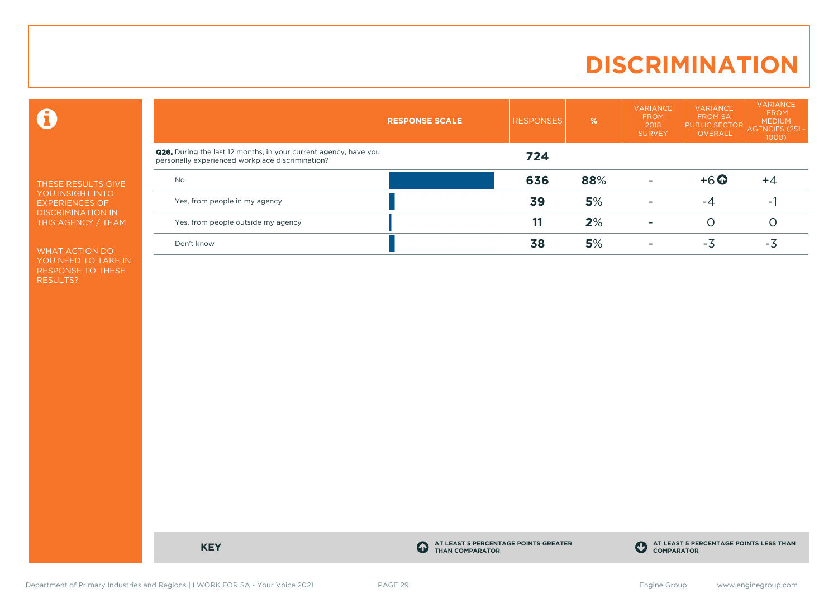### **DISCRIMINATION**

 $\mathbf \Theta$ 

THESE RESULTS GIVE YOU INSIGHT INTO EXPERIENCES OF DISCRIMINATION IN THIS AGENCY / TEAM

WHAT ACTION DO YOU NEED TO TAKE IN RESPONSE TO THESE RESULTS?

|                                                                                                                             | <b>RESPONSE SCALE</b> | <b>RESPONSES</b> | %   | <b>VARIANCE</b><br><b>FROM</b><br>2018<br><b>SURVEY</b> | <b>VARIANCE</b><br><b>FROM SA</b><br><b>PUBLIC SECTOR</b><br>OVERALL | <b>VARIANCE</b><br><b>FROM</b><br><b>MEDIUM</b><br>AGENCIES (251<br>$1000$ ) |
|-----------------------------------------------------------------------------------------------------------------------------|-----------------------|------------------|-----|---------------------------------------------------------|----------------------------------------------------------------------|------------------------------------------------------------------------------|
| <b>Q26.</b> During the last 12 months, in your current agency, have you<br>personally experienced workplace discrimination? |                       | 724              |     |                                                         |                                                                      |                                                                              |
| <b>No</b>                                                                                                                   |                       | 636              | 88% |                                                         | $+6$ $\odot$                                                         | $+4$                                                                         |
| Yes, from people in my agency                                                                                               |                       | 39               | 5%  |                                                         | -4                                                                   | $\sim$                                                                       |
| Yes, from people outside my agency                                                                                          |                       |                  | 2%  | $\overline{\phantom{a}}$                                |                                                                      |                                                                              |
| Don't know                                                                                                                  |                       | 38               | 5%  |                                                         | -3                                                                   | -3                                                                           |

**KEY C** 

**AT LEAST 5 PERCENTAGE POINTS GREATER THAN COMPARATOR**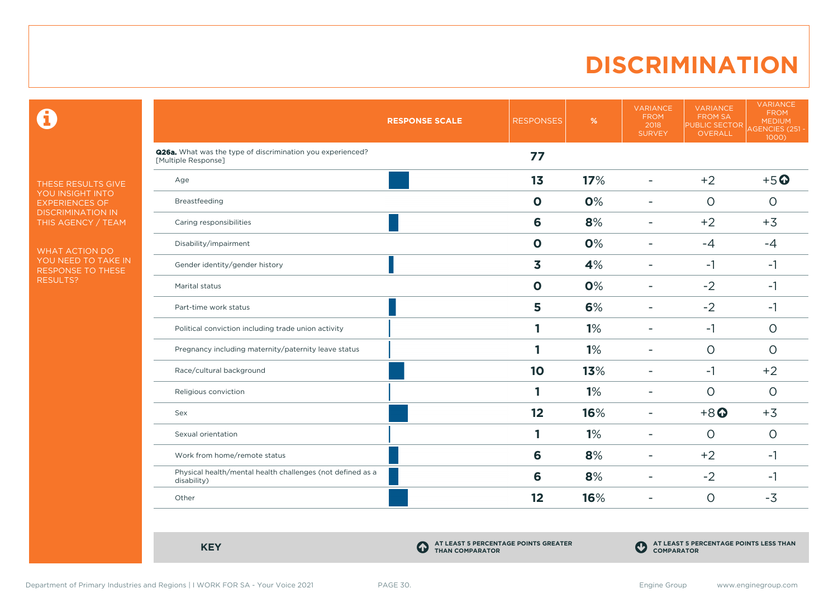### **DISCRIMINATION**

 $\mathbf \Theta$ 

THESE RESULTS GIVE YOU INSIGHT INTO EXPERIENCES OF DISCRIMINATION IN THIS AGENCY / TEAM

WHAT ACTION DO YOU NEED TO TAKE IN RESPONSE TO THESE RESULTS?

|                                                                                   | <b>RESPONSE SCALE</b> | <b>RESPONSES</b> | $\%$ | <b>VARIANCE</b><br><b>FROM</b><br>2018<br><b>SURVEY</b> | <b>VARIANCE</b><br><b>FROM SA</b><br><b>PUBLIC SECTOR</b><br>OVERALL | <b>VARIANCE</b><br><b>FROM</b><br><b>MEDIUM</b><br>AGENCIES (251 -<br>1000) |
|-----------------------------------------------------------------------------------|-----------------------|------------------|------|---------------------------------------------------------|----------------------------------------------------------------------|-----------------------------------------------------------------------------|
| Q26a. What was the type of discrimination you experienced?<br>[Multiple Response] |                       | 77               |      |                                                         |                                                                      |                                                                             |
| Age                                                                               |                       | 1 <sub>3</sub>   | 17%  | ÷                                                       | $+2$                                                                 | $+5$ <sup>O</sup>                                                           |
| Breastfeeding                                                                     |                       | $\mathbf 0$      | 0%   | ۰                                                       | $\circ$                                                              | $\circ$                                                                     |
| Caring responsibilities                                                           |                       | 6                | 8%   | ۰                                                       | $+2$                                                                 | $+3$                                                                        |
| Disability/impairment                                                             |                       | $\mathbf 0$      | 0%   | $\overline{a}$                                          | $-4$                                                                 | $-4$                                                                        |
| Gender identity/gender history                                                    |                       | 3                | 4%   | $\blacksquare$                                          | $-1$                                                                 | $-1$                                                                        |
| Marital status                                                                    |                       | $\mathbf 0$      | 0%   | $\overline{\phantom{0}}$                                | $-2$                                                                 | $-1$                                                                        |
| Part-time work status                                                             |                       | 5                | 6%   | ۰                                                       | $-2$                                                                 | $-1$                                                                        |
| Political conviction including trade union activity                               |                       | 1                | 1%   | ۰                                                       | $-1$                                                                 | $\circ$                                                                     |
| Pregnancy including maternity/paternity leave status                              |                       | 1                | 1%   | ۰                                                       | $\circ$                                                              | $\circ$                                                                     |
| Race/cultural background                                                          |                       | 10               | 13%  | $\overline{a}$                                          | $-1$                                                                 | $+2$                                                                        |
| Religious conviction                                                              |                       | 1                | 1%   | ۰                                                       | $\circ$                                                              | $\circ$                                                                     |
| Sex                                                                               |                       | 12               | 16%  | ۰                                                       | $+8$ <sup>O</sup>                                                    | $+3$                                                                        |
| Sexual orientation                                                                |                       | 1                | 1%   | ÷                                                       | $\circ$                                                              | $\circ$                                                                     |
| Work from home/remote status                                                      |                       | 6                | 8%   | ÷                                                       | $+2$                                                                 | $-1$                                                                        |
| Physical health/mental health challenges (not defined as a<br>disability)         |                       | 6                | 8%   | ۰                                                       | $-2$                                                                 | $-1$                                                                        |
| Other                                                                             |                       | 12               | 16%  | ۰                                                       | $\circ$                                                              | $-3$                                                                        |

**KEY C** 

**AT LEAST 5 PERCENTAGE POINTS GREATER THAN COMPARATOR**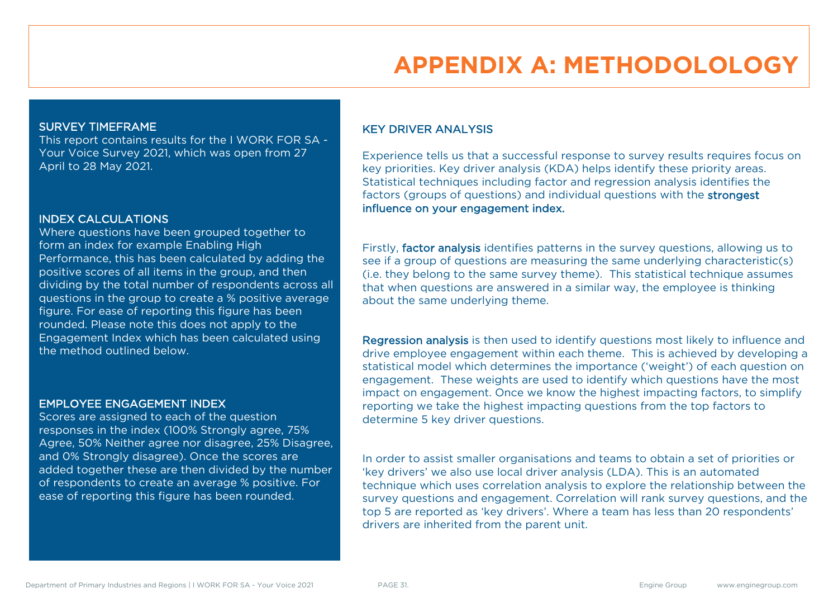### **APPENDIX A: METHODOLOLOGY**

#### SURVEY TIMEFRAME

This report contains results for the I WORK FOR SA - Your Voice Survey 2021, which was open from 27 April to 28 May 2021.

#### INDEX CALCULATIONS

Where questions have been grouped together to form an index for example Enabling High Performance, this has been calculated by adding the positive scores of all items in the group, and then dividing by the total number of respondents across all questions in the group to create a % positive average figure. For ease of reporting this figure has been rounded. Please note this does not apply to the Engagement Index which has been calculated using the method outlined below.

#### EMPLOYEE ENGAGEMENT INDEX

Scores are assigned to each of the question responses in the index (100% Strongly agree, 75% Agree, 50% Neither agree nor disagree, 25% Disagree, and 0% Strongly disagree). Once the scores are added together these are then divided by the number of respondents to create an average % positive. For ease of reporting this figure has been rounded.

#### KEY DRIVER ANALYSIS

Experience tells us that a successful response to survey results requires focus on key priorities. Key driver analysis (KDA) helps identify these priority areas. Statistical techniques including factor and regression analysis identifies the factors (groups of questions) and individual questions with the strongest influence on your engagement index.

Firstly, factor analysis identifies patterns in the survey questions, allowing us to see if a group of questions are measuring the same underlying characteristic(s) (i.e. they belong to the same survey theme). This statistical technique assumes that when questions are answered in a similar way, the employee is thinking about the same underlying theme.

Regression analysis is then used to identify questions most likely to influence and drive employee engagement within each theme. This is achieved by developing a statistical model which determines the importance ('weight') of each question on engagement. These weights are used to identify which questions have the most impact on engagement. Once we know the highest impacting factors, to simplify reporting we take the highest impacting questions from the top factors to determine 5 key driver questions.

In order to assist smaller organisations and teams to obtain a set of priorities or 'key drivers' we also use local driver analysis (LDA). This is an automated technique which uses correlation analysis to explore the relationship between the survey questions and engagement. Correlation will rank survey questions, and the top 5 are reported as 'key drivers'. Where a team has less than 20 respondents' drivers are inherited from the parent unit.